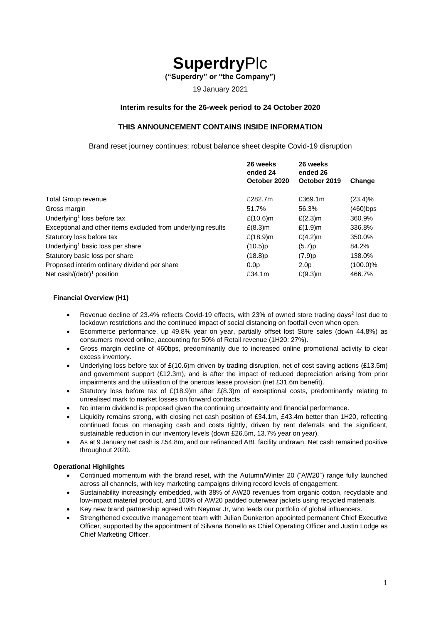# **Superdry**Plc

**("Superdry" or "the Company")**

19 January 2021

#### **Interim results for the 26-week period to 24 October 2020**

### **THIS ANNOUNCEMENT CONTAINS INSIDE INFORMATION**

Brand reset journey continues; robust balance sheet despite Covid-19 disruption

|                                                              | 26 weeks<br>ended 24 | 26 weeks<br>ended 26 |             |  |
|--------------------------------------------------------------|----------------------|----------------------|-------------|--|
|                                                              | October 2020         | October 2019         | Change      |  |
| <b>Total Group revenue</b>                                   | £282.7m              | £369.1m              | (23.4)%     |  |
| Gross margin                                                 | 51.7%                | 56.3%                | (460)bps    |  |
| Underlying <sup>1</sup> loss before tax                      | $£(10.6)$ m          | $E(2.3)$ m           | 360.9%      |  |
| Exceptional and other items excluded from underlying results | $£(8.3)$ m           | $£(1.9)$ m           | 336.8%      |  |
| Statutory loss before tax                                    | £ $(18.9)$ m         | $£(4.2)$ m           | 350.0%      |  |
| Underlying <sup>1</sup> basic loss per share                 | $(10.5)$ p           | (5.7)p               | 84.2%       |  |
| Statutory basic loss per share                               | $(18.8)$ p           | $(7.9)$ p            | 138.0%      |  |
| Proposed interim ordinary dividend per share                 | 0.0 <sub>p</sub>     | 2.0 <sub>p</sub>     | $(100.0)\%$ |  |
| Net cash/(debt) <sup>1</sup> position                        | £34.1m               | $E(9.3)$ m           | 466.7%      |  |

#### **Financial Overview (H1)**

- Revenue decline of 23.4% reflects Covid-19 effects, with 23% of owned store trading days<sup>2</sup> lost due to lockdown restrictions and the continued impact of social distancing on footfall even when open.
- Ecommerce performance, up 49.8% year on year, partially offset lost Store sales (down 44.8%) as consumers moved online, accounting for 50% of Retail revenue (1H20: 27%).
- Gross margin decline of 460bps, predominantly due to increased online promotional activity to clear excess inventory.
- Underlying loss before tax of £(10.6)m driven by trading disruption, net of cost saving actions (£13.5m) and government support (£12.3m), and is after the impact of reduced depreciation arising from prior impairments and the utilisation of the onerous lease provision (net £31.6m benefit).
- Statutory loss before tax of  $E(18.9)$ m after  $E(8.3)$ m of exceptional costs, predominantly relating to unrealised mark to market losses on forward contracts.
- No interim dividend is proposed given the continuing uncertainty and financial performance.
- Liquidity remains strong, with closing net cash position of £34.1m, £43.4m better than 1H20, reflecting continued focus on managing cash and costs tightly, driven by rent deferrals and the significant, sustainable reduction in our inventory levels (down £26.5m, 13.7% year on year).
- As at 9 January net cash is £54.8m, and our refinanced ABL facility undrawn. Net cash remained positive throughout 2020.

#### **Operational Highlights**

- Continued momentum with the brand reset, with the Autumn/Winter 20 ("AW20") range fully launched across all channels, with key marketing campaigns driving record levels of engagement.
- Sustainability increasingly embedded, with 38% of AW20 revenues from organic cotton, recyclable and low-impact material product, and 100% of AW20 padded outerwear jackets using recycled materials.
- Key new brand partnership agreed with Neymar Jr, who leads our portfolio of global influencers.
- Strengthened executive management team with Julian Dunkerton appointed permanent Chief Executive Officer, supported by the appointment of Silvana Bonello as Chief Operating Officer and Justin Lodge as Chief Marketing Officer.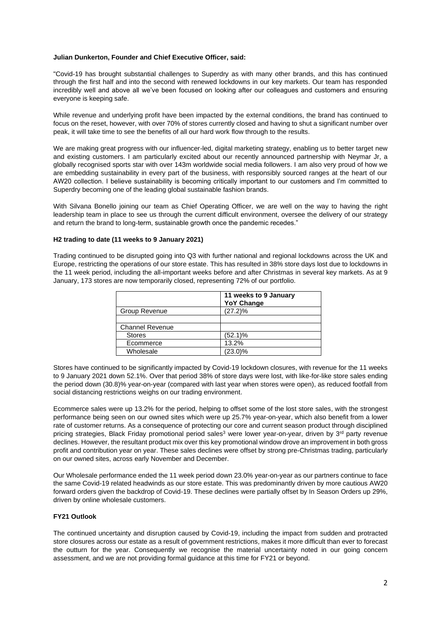#### **Julian Dunkerton, Founder and Chief Executive Officer, said:**

"Covid-19 has brought substantial challenges to Superdry as with many other brands, and this has continued through the first half and into the second with renewed lockdowns in our key markets. Our team has responded incredibly well and above all we've been focused on looking after our colleagues and customers and ensuring everyone is keeping safe.

While revenue and underlying profit have been impacted by the external conditions, the brand has continued to focus on the reset, however, with over 70% of stores currently closed and having to shut a significant number over peak, it will take time to see the benefits of all our hard work flow through to the results.

We are making great progress with our influencer-led, digital marketing strategy, enabling us to better target new and existing customers. I am particularly excited about our recently announced partnership with Neymar Jr, a globally recognised sports star with over 143m worldwide social media followers. I am also very proud of how we are embedding sustainability in every part of the business, with responsibly sourced ranges at the heart of our AW20 collection. I believe sustainability is becoming critically important to our customers and I'm committed to Superdry becoming one of the leading global sustainable fashion brands.

With Silvana Bonello joining our team as Chief Operating Officer, we are well on the way to having the right leadership team in place to see us through the current difficult environment, oversee the delivery of our strategy and return the brand to long-term, sustainable growth once the pandemic recedes."

#### **H2 trading to date (11 weeks to 9 January 2021)**

Trading continued to be disrupted going into Q3 with further national and regional lockdowns across the UK and Europe, restricting the operations of our store estate. This has resulted in 38% store days lost due to lockdowns in the 11 week period, including the all-important weeks before and after Christmas in several key markets. As at 9 January, 173 stores are now temporarily closed, representing 72% of our portfolio.

|                        | 11 weeks to 9 January<br><b>YoY Change</b> |
|------------------------|--------------------------------------------|
| Group Revenue          | $(27.2)\%$                                 |
|                        |                                            |
| <b>Channel Revenue</b> |                                            |
| <b>Stores</b>          | $(52.1)\%$                                 |
| Ecommerce              | 13.2%                                      |
| Wholesale              | $(23.0)\%$                                 |

Stores have continued to be significantly impacted by Covid-19 lockdown closures, with revenue for the 11 weeks to 9 January 2021 down 52.1%. Over that period 38% of store days were lost, with like-for-like store sales ending the period down (30.8)% year-on-year (compared with last year when stores were open), as reduced footfall from social distancing restrictions weighs on our trading environment.

Ecommerce sales were up 13.2% for the period, helping to offset some of the lost store sales, with the strongest performance being seen on our owned sites which were up 25.7% year-on-year, which also benefit from a lower rate of customer returns. As a consequence of protecting our core and current season product through disciplined pricing strategies, Black Friday promotional period sales<sup>3</sup> were lower year-on-year, driven by 3<sup>rd</sup> party revenue declines. However, the resultant product mix over this key promotional window drove an improvement in both gross profit and contribution year on year. These sales declines were offset by strong pre-Christmas trading, particularly on our owned sites, across early November and December.

Our Wholesale performance ended the 11 week period down 23.0% year-on-year as our partners continue to face the same Covid-19 related headwinds as our store estate. This was predominantly driven by more cautious AW20 forward orders given the backdrop of Covid-19. These declines were partially offset by In Season Orders up 29%, driven by online wholesale customers.

#### **FY21 Outlook**

The continued uncertainty and disruption caused by Covid-19, including the impact from sudden and protracted store closures across our estate as a result of government restrictions, makes it more difficult than ever to forecast the outturn for the year. Consequently we recognise the material uncertainty noted in our going concern assessment, and we are not providing formal guidance at this time for FY21 or beyond.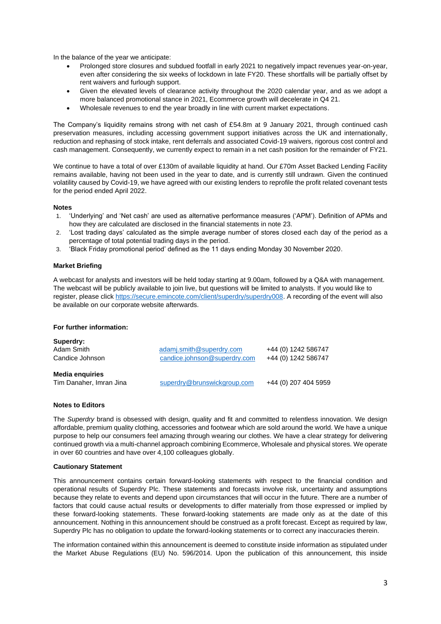In the balance of the year we anticipate:

- Prolonged store closures and subdued footfall in early 2021 to negatively impact revenues year-on-year, even after considering the six weeks of lockdown in late FY20. These shortfalls will be partially offset by rent waivers and furlough support.
- Given the elevated levels of clearance activity throughout the 2020 calendar year, and as we adopt a more balanced promotional stance in 2021, Ecommerce growth will decelerate in Q4 21.
- Wholesale revenues to end the year broadly in line with current market expectations.

The Company's liquidity remains strong with net cash of £54.8m at 9 January 2021, through continued cash preservation measures, including accessing government support initiatives across the UK and internationally, reduction and rephasing of stock intake, rent deferrals and associated Covid-19 waivers, rigorous cost control and cash management. Consequently, we currently expect to remain in a net cash position for the remainder of FY21.

We continue to have a total of over £130m of available liquidity at hand. Our £70m Asset Backed Lending Facility remains available, having not been used in the year to date, and is currently still undrawn. Given the continued volatility caused by Covid-19, we have agreed with our existing lenders to reprofile the profit related covenant tests for the period ended April 2022.

#### **Notes**

- 1. 'Underlying' and 'Net cash' are used as alternative performance measures ('APM'). Definition of APMs and how they are calculated are disclosed in the financial statements in note 23.
- 2. 'Lost trading days' calculated as the simple average number of stores closed each day of the period as a percentage of total potential trading days in the period.
- 3. 'Black Friday promotional period' defined as the 11 days ending Monday 30 November 2020.

### **Market Briefing**

A webcast for analysts and investors will be held today starting at 9.00am, followed by a Q&A with management. The webcast will be publicly available to join live, but questions will be limited to analysts. If you would like to register, please click [https://secure.emincote.com/client/superdry/superdry008.](https://secure.emincote.com/client/superdry/superdry008) A recording of the event will also be available on our corporate website afterwards.

#### **For further information:**

| Superdry:               |                              |                      |
|-------------------------|------------------------------|----------------------|
| Adam Smith              | adamj.smith@superdry.com     | +44 (0) 1242 586747  |
| Candice Johnson         | candice.johnson@superdry.com | +44 (0) 1242 586747  |
| Media enguiries         |                              |                      |
| Tim Danaher, Imran Jina | superdry@brunswickgroup.com  | +44 (0) 207 404 5959 |

#### **Notes to Editors**

The *Superdry* brand is obsessed with design, quality and fit and committed to relentless innovation. We design affordable, premium quality clothing, accessories and footwear which are sold around the world. We have a unique purpose to help our consumers feel amazing through wearing our clothes. We have a clear strategy for delivering continued growth via a multi-channel approach combining Ecommerce, Wholesale and physical stores. We operate in over 60 countries and have over 4,100 colleagues globally.

#### **Cautionary Statement**

This announcement contains certain forward-looking statements with respect to the financial condition and operational results of Superdry Plc. These statements and forecasts involve risk, uncertainty and assumptions because they relate to events and depend upon circumstances that will occur in the future. There are a number of factors that could cause actual results or developments to differ materially from those expressed or implied by these forward-looking statements. These forward-looking statements are made only as at the date of this announcement. Nothing in this announcement should be construed as a profit forecast. Except as required by law, Superdry Plc has no obligation to update the forward-looking statements or to correct any inaccuracies therein.

The information contained within this announcement is deemed to constitute inside information as stipulated under the Market Abuse Regulations (EU) No. 596/2014. Upon the publication of this announcement, this inside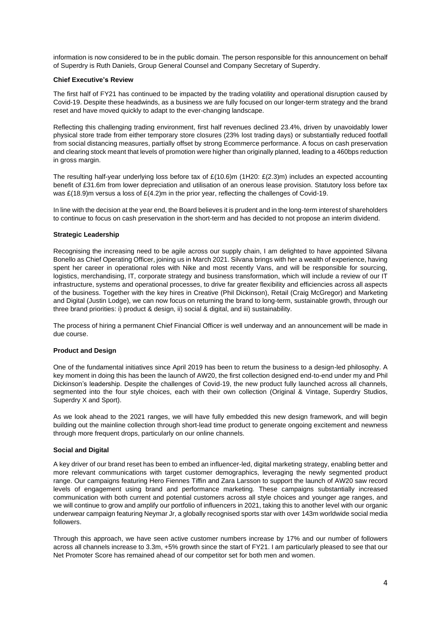information is now considered to be in the public domain. The person responsible for this announcement on behalf of Superdry is Ruth Daniels, Group General Counsel and Company Secretary of Superdry.

#### **Chief Executive's Review**

The first half of FY21 has continued to be impacted by the trading volatility and operational disruption caused by Covid-19. Despite these headwinds, as a business we are fully focused on our longer-term strategy and the brand reset and have moved quickly to adapt to the ever-changing landscape.

Reflecting this challenging trading environment, first half revenues declined 23.4%, driven by unavoidably lower physical store trade from either temporary store closures (23% lost trading days) or substantially reduced footfall from social distancing measures, partially offset by strong Ecommerce performance. A focus on cash preservation and clearing stock meant that levels of promotion were higher than originally planned, leading to a 460bps reduction in gross margin.

The resulting half-year underlying loss before tax of £(10.6)m (1H20: £(2.3)m) includes an expected accounting benefit of £31.6m from lower depreciation and utilisation of an onerous lease provision. Statutory loss before tax was £(18.9)m versus a loss of £(4.2)m in the prior year, reflecting the challenges of Covid-19.

In line with the decision at the year end, the Board believes it is prudent and in the long-term interest of shareholders to continue to focus on cash preservation in the short-term and has decided to not propose an interim dividend.

#### **Strategic Leadership**

Recognising the increasing need to be agile across our supply chain, I am delighted to have appointed Silvana Bonello as Chief Operating Officer, joining us in March 2021. Silvana brings with her a wealth of experience, having spent her career in operational roles with Nike and most recently Vans, and will be responsible for sourcing, logistics, merchandising, IT, corporate strategy and business transformation, which will include a review of our IT infrastructure, systems and operational processes, to drive far greater flexibility and efficiencies across all aspects of the business. Together with the key hires in Creative (Phil Dickinson), Retail (Craig McGregor) and Marketing and Digital (Justin Lodge), we can now focus on returning the brand to long-term, sustainable growth, through our three brand priorities: i) product & design, ii) social & digital, and iii) sustainability.

The process of hiring a permanent Chief Financial Officer is well underway and an announcement will be made in due course.

#### **Product and Design**

One of the fundamental initiatives since April 2019 has been to return the business to a design-led philosophy. A key moment in doing this has been the launch of AW20, the first collection designed end-to-end under my and Phil Dickinson's leadership. Despite the challenges of Covid-19, the new product fully launched across all channels, segmented into the four style choices, each with their own collection (Original & Vintage, Superdry Studios, Superdry X and Sport).

As we look ahead to the 2021 ranges, we will have fully embedded this new design framework, and will begin building out the mainline collection through short-lead time product to generate ongoing excitement and newness through more frequent drops, particularly on our online channels.

### **Social and Digital**

A key driver of our brand reset has been to embed an influencer-led, digital marketing strategy, enabling better and more relevant communications with target customer demographics, leveraging the newly segmented product range. Our campaigns featuring Hero Fiennes Tiffin and Zara Larsson to support the launch of AW20 saw record levels of engagement using brand and performance marketing. These campaigns substantially increased communication with both current and potential customers across all style choices and younger age ranges, and we will continue to grow and amplify our portfolio of influencers in 2021, taking this to another level with our organic underwear campaign featuring Neymar Jr, a globally recognised sports star with over 143m worldwide social media followers.

Through this approach, we have seen active customer numbers increase by 17% and our number of followers across all channels increase to 3.3m, +5% growth since the start of FY21. I am particularly pleased to see that our Net Promoter Score has remained ahead of our competitor set for both men and women.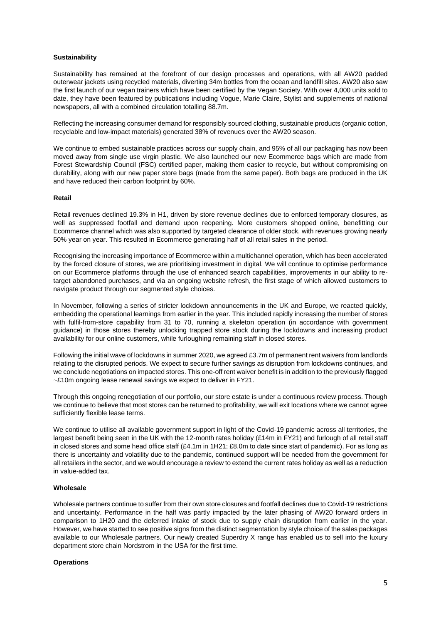#### **Sustainability**

Sustainability has remained at the forefront of our design processes and operations, with all AW20 padded outerwear jackets using recycled materials, diverting 34m bottles from the ocean and landfill sites. AW20 also saw the first launch of our vegan trainers which have been certified by the Vegan Society. With over 4,000 units sold to date, they have been featured by publications including Vogue, Marie Claire, Stylist and supplements of national newspapers, all with a combined circulation totalling 88.7m.

Reflecting the increasing consumer demand for responsibly sourced clothing, sustainable products (organic cotton, recyclable and low-impact materials) generated 38% of revenues over the AW20 season.

We continue to embed sustainable practices across our supply chain, and 95% of all our packaging has now been moved away from single use virgin plastic. We also launched our new Ecommerce bags which are made from Forest Stewardship Council (FSC) certified paper, making them easier to recycle, but without compromising on durability, along with our new paper store bags (made from the same paper). Both bags are produced in the UK and have reduced their carbon footprint by 60%.

#### **Retail**

Retail revenues declined 19.3% in H1, driven by store revenue declines due to enforced temporary closures, as well as suppressed footfall and demand upon reopening. More customers shopped online, benefitting our Ecommerce channel which was also supported by targeted clearance of older stock, with revenues growing nearly 50% year on year. This resulted in Ecommerce generating half of all retail sales in the period.

Recognising the increasing importance of Ecommerce within a multichannel operation, which has been accelerated by the forced closure of stores, we are prioritising investment in digital. We will continue to optimise performance on our Ecommerce platforms through the use of enhanced search capabilities, improvements in our ability to retarget abandoned purchases, and via an ongoing website refresh, the first stage of which allowed customers to navigate product through our segmented style choices.

In November, following a series of stricter lockdown announcements in the UK and Europe, we reacted quickly, embedding the operational learnings from earlier in the year. This included rapidly increasing the number of stores with fulfil-from-store capability from 31 to 70, running a skeleton operation (in accordance with government guidance) in those stores thereby unlocking trapped store stock during the lockdowns and increasing product availability for our online customers, while furloughing remaining staff in closed stores.

Following the initial wave of lockdowns in summer 2020, we agreed £3.7m of permanent rent waivers from landlords relating to the disrupted periods. We expect to secure further savings as disruption from lockdowns continues, and we conclude negotiations on impacted stores. This one-off rent waiver benefit is in addition to the previously flagged ~£10m ongoing lease renewal savings we expect to deliver in FY21.

Through this ongoing renegotiation of our portfolio, our store estate is under a continuous review process. Though we continue to believe that most stores can be returned to profitability, we will exit locations where we cannot agree sufficiently flexible lease terms.

We continue to utilise all available government support in light of the Covid-19 pandemic across all territories, the largest benefit being seen in the UK with the 12-month rates holiday (£14m in FY21) and furlough of all retail staff in closed stores and some head office staff (£4.1m in 1H21; £8.0m to date since start of pandemic). For as long as there is uncertainty and volatility due to the pandemic, continued support will be needed from the government for all retailers in the sector, and we would encourage a review to extend the current rates holiday as well as a reduction in value-added tax.

#### **Wholesale**

Wholesale partners continue to suffer from their own store closures and footfall declines due to Covid-19 restrictions and uncertainty. Performance in the half was partly impacted by the later phasing of AW20 forward orders in comparison to 1H20 and the deferred intake of stock due to supply chain disruption from earlier in the year. However, we have started to see positive signs from the distinct segmentation by style choice of the sales packages available to our Wholesale partners. Our newly created Superdry X range has enabled us to sell into the luxury department store chain Nordstrom in the USA for the first time.

#### **Operations**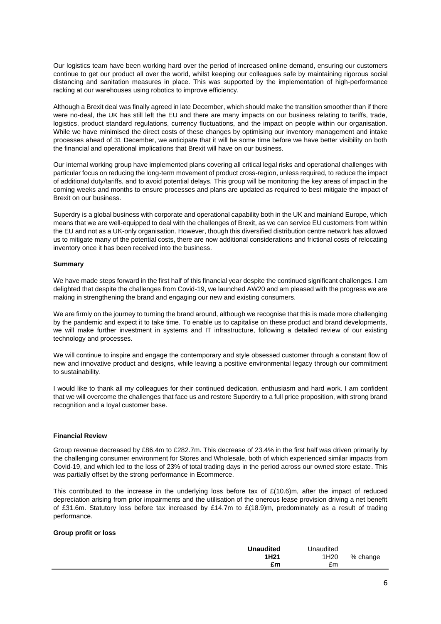Our logistics team have been working hard over the period of increased online demand, ensuring our customers continue to get our product all over the world, whilst keeping our colleagues safe by maintaining rigorous social distancing and sanitation measures in place. This was supported by the implementation of high-performance racking at our warehouses using robotics to improve efficiency.

Although a Brexit deal was finally agreed in late December, which should make the transition smoother than if there were no-deal, the UK has still left the EU and there are many impacts on our business relating to tariffs, trade, logistics, product standard regulations, currency fluctuations, and the impact on people within our organisation. While we have minimised the direct costs of these changes by optimising our inventory management and intake processes ahead of 31 December, we anticipate that it will be some time before we have better visibility on both the financial and operational implications that Brexit will have on our business.

Our internal working group have implemented plans covering all critical legal risks and operational challenges with particular focus on reducing the long-term movement of product cross-region, unless required, to reduce the impact of additional duty/tariffs, and to avoid potential delays. This group will be monitoring the key areas of impact in the coming weeks and months to ensure processes and plans are updated as required to best mitigate the impact of Brexit on our business.

Superdry is a global business with corporate and operational capability both in the UK and mainland Europe, which means that we are well-equipped to deal with the challenges of Brexit, as we can service EU customers from within the EU and not as a UK-only organisation. However, though this diversified distribution centre network has allowed us to mitigate many of the potential costs, there are now additional considerations and frictional costs of relocating inventory once it has been received into the business.

#### **Summary**

We have made steps forward in the first half of this financial year despite the continued significant challenges. I am delighted that despite the challenges from Covid-19, we launched AW20 and am pleased with the progress we are making in strengthening the brand and engaging our new and existing consumers.

We are firmly on the journey to turning the brand around, although we recognise that this is made more challenging by the pandemic and expect it to take time. To enable us to capitalise on these product and brand developments, we will make further investment in systems and IT infrastructure, following a detailed review of our existing technology and processes.

We will continue to inspire and engage the contemporary and style obsessed customer through a constant flow of new and innovative product and designs, while leaving a positive environmental legacy through our commitment to sustainability.

I would like to thank all my colleagues for their continued dedication, enthusiasm and hard work. I am confident that we will overcome the challenges that face us and restore Superdry to a full price proposition, with strong brand recognition and a loyal customer base.

#### **Financial Review**

Group revenue decreased by £86.4m to £282.7m. This decrease of 23.4% in the first half was driven primarily by the challenging consumer environment for Stores and Wholesale, both of which experienced similar impacts from Covid-19, and which led to the loss of 23% of total trading days in the period across our owned store estate. This was partially offset by the strong performance in Ecommerce.

This contributed to the increase in the underlying loss before tax of  $£(10.6)$ m, after the impact of reduced depreciation arising from prior impairments and the utilisation of the onerous lease provision driving a net benefit of £31.6m. Statutory loss before tax increased by £14.7m to £(18.9)m, predominately as a result of trading performance.

#### **Group profit or loss**

| <b>Unaudited</b> | Unaudited        |          |
|------------------|------------------|----------|
| 1H <sub>21</sub> | 1H <sub>20</sub> | % change |
| £m               | £m               |          |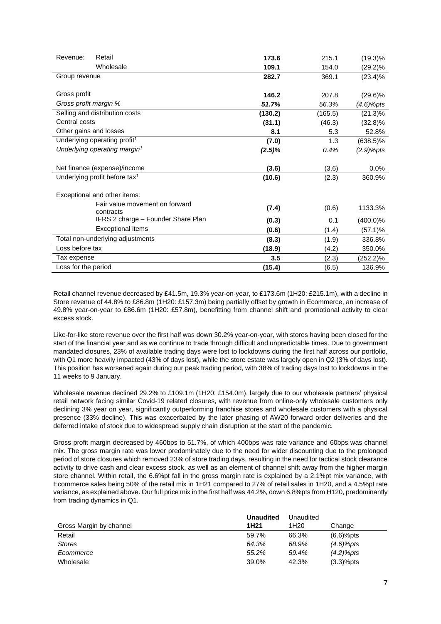| Revenue:<br>Retail                          | 173.6     | 215.1   | $(19.3)\%$   |
|---------------------------------------------|-----------|---------|--------------|
| Wholesale                                   | 109.1     | 154.0   | $(29.2)\%$   |
| Group revenue                               | 282.7     | 369.1   | $(23.4)\%$   |
|                                             |           |         |              |
| Gross profit                                | 146.2     | 207.8   | $(29.6)\%$   |
| Gross profit margin %                       | 51.7%     | 56.3%   | (4.6)%pts    |
| Selling and distribution costs              | (130.2)   | (165.5) | $(21.3)\%$   |
| Central costs                               | (31.1)    | (46.3)  | $(32.8)\%$   |
| Other gains and losses                      | 8.1       | 5.3     | 52.8%        |
| Underlying operating profit <sup>1</sup>    | (7.0)     | 1.3     | $(638.5)\%$  |
| Underlying operating margin <sup>1</sup>    | $(2.5)\%$ | 0.4%    | $(2.9)$ %pts |
|                                             |           |         |              |
| Net finance (expense)/income                | (3.6)     | (3.6)   | 0.0%         |
| Underlying profit before tax <sup>1</sup>   | (10.6)    | (2.3)   | 360.9%       |
|                                             |           |         |              |
| Exceptional and other items:                |           |         |              |
| Fair value movement on forward<br>contracts | (7.4)     | (0.6)   | 1133.3%      |
| IFRS 2 charge – Founder Share Plan          | (0.3)     | 0.1     | $(400.0)\%$  |
| <b>Exceptional items</b>                    | (0.6)     | (1.4)   | (57.1)%      |
| Total non-underlying adjustments            | (8.3)     | (1.9)   | 336.8%       |
| Loss before tax                             | (18.9)    | (4.2)   | 350.0%       |
| Tax expense                                 | 3.5       | (2.3)   | (252.2)%     |
| Loss for the period                         | (15.4)    | (6.5)   | 136.9%       |

Retail channel revenue decreased by £41.5m, 19.3% year-on-year, to £173.6m (1H20: £215.1m), with a decline in Store revenue of 44.8% to £86.8m (1H20: £157.3m) being partially offset by growth in Ecommerce, an increase of 49.8% year-on-year to £86.6m (1H20: £57.8m), benefitting from channel shift and promotional activity to clear excess stock.

Like-for-like store revenue over the first half was down 30.2% year-on-year, with stores having been closed for the start of the financial year and as we continue to trade through difficult and unpredictable times. Due to government mandated closures, 23% of available trading days were lost to lockdowns during the first half across our portfolio, with Q1 more heavily impacted (43% of days lost), while the store estate was largely open in Q2 (3% of days lost). This position has worsened again during our peak trading period, with 38% of trading days lost to lockdowns in the 11 weeks to 9 January.

Wholesale revenue declined 29.2% to £109.1m (1H20: £154.0m), largely due to our wholesale partners' physical retail network facing similar Covid-19 related closures, with revenue from online-only wholesale customers only declining 3% year on year, significantly outperforming franchise stores and wholesale customers with a physical presence (33% decline). This was exacerbated by the later phasing of AW20 forward order deliveries and the deferred intake of stock due to widespread supply chain disruption at the start of the pandemic.

Gross profit margin decreased by 460bps to 51.7%, of which 400bps was rate variance and 60bps was channel mix. The gross margin rate was lower predominately due to the need for wider discounting due to the prolonged period of store closures which removed 23% of store trading days, resulting in the need for tactical stock clearance activity to drive cash and clear excess stock, as well as an element of channel shift away from the higher margin store channel. Within retail, the 6.6% pt fall in the gross margin rate is explained by a 2.1% pt mix variance, with Ecommerce sales being 50% of the retail mix in 1H21 compared to 27% of retail sales in 1H20, and a 4.5%pt rate variance, as explained above. Our full price mix in the first half was 44.2%, down 6.8%pts from H120, predominantly from trading dynamics in Q1.

|                         | <b>Unaudited</b> | Unaudited        |              |
|-------------------------|------------------|------------------|--------------|
| Gross Margin by channel | 1H <sub>21</sub> | 1H <sub>20</sub> | Change       |
| Retail                  | 59.7%            | 66.3%            | $(6.6)%$ pts |
| <b>Stores</b>           | 64.3%            | 68.9%            | $(4.6)$ %pts |
| Ecommerce               | 55.2%            | 59.4%            | $(4.2)$ %pts |
| Wholesale               | 39.0%            | 42.3%            | $(3.3)%$ pts |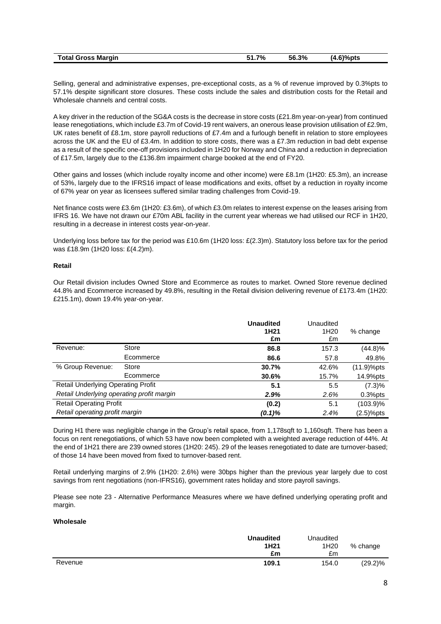| ⊺otal<br>! Gross Marqin | 7%<br>$\sim$<br>. <i>. .</i> | 56.3% | $.6$ )%pts<br>$\overline{\mathbf{A}}$<br>T.V |
|-------------------------|------------------------------|-------|----------------------------------------------|
|                         |                              |       |                                              |

Selling, general and administrative expenses, pre-exceptional costs, as a % of revenue improved by 0.3%pts to 57.1% despite significant store closures. These costs include the sales and distribution costs for the Retail and Wholesale channels and central costs.

A key driver in the reduction of the SG&A costs is the decrease in store costs (£21.8m year-on-year) from continued lease renegotiations, which include £3.7m of Covid-19 rent waivers, an onerous lease provision utilisation of £2.9m, UK rates benefit of £8.1m, store payroll reductions of £7.4m and a furlough benefit in relation to store employees across the UK and the EU of £3.4m. In addition to store costs, there was a £7.3m reduction in bad debt expense as a result of the specific one-off provisions included in 1H20 for Norway and China and a reduction in depreciation of £17.5m, largely due to the £136.8m impairment charge booked at the end of FY20.

Other gains and losses (which include royalty income and other income) were £8.1m (1H20: £5.3m), an increase of 53%, largely due to the IFRS16 impact of lease modifications and exits, offset by a reduction in royalty income of 67% year on year as licensees suffered similar trading challenges from Covid-19.

Net finance costs were £3.6m (1H20: £3.6m), of which £3.0m relates to interest expense on the leases arising from IFRS 16. We have not drawn our £70m ABL facility in the current year whereas we had utilised our RCF in 1H20, resulting in a decrease in interest costs year-on-year.

Underlying loss before tax for the period was £10.6m (1H20 loss: £(2.3)m). Statutory loss before tax for the period was £18.9m (1H20 loss: £(4.2)m).

### **Retail**

Our Retail division includes Owned Store and Ecommerce as routes to market. Owned Store revenue declined 44.8% and Ecommerce increased by 49.8%, resulting in the Retail division delivering revenue of £173.4m (1H20: £215.1m), down 19.4% year-on-year.

|                                           |           | <b>Unaudited</b><br>1H <sub>21</sub><br>£m | Unaudited<br>1H <sub>20</sub><br>£m | % change   |
|-------------------------------------------|-----------|--------------------------------------------|-------------------------------------|------------|
| Revenue:                                  | Store     | 86.8                                       | 157.3                               | (44.8)%    |
|                                           | Ecommerce | 86.6                                       | 57.8                                | 49.8%      |
| % Group Revenue:                          | Store     | 30.7%                                      | 42.6%                               | (11.9)%pts |
|                                           | Ecommerce | 30.6%                                      | 15.7%                               | 14.9%pts   |
| <b>Retail Underlying Operating Profit</b> |           | 5.1                                        | 5.5                                 | (7.3)%     |
| Retail Underlying operating profit margin |           | 2.9%                                       | 2.6%                                | $0.3%$ pts |
| <b>Retail Operating Profit</b>            |           | (0.2)                                      | 5.1                                 | (103.9)%   |
| Retail operating profit margin            |           | $(0.1)\%$                                  | 2.4%                                | (2.5)%pts  |

During H1 there was negligible change in the Group's retail space, from 1,178sqft to 1,160sqft. There has been a focus on rent renegotiations, of which 53 have now been completed with a weighted average reduction of 44%. At the end of 1H21 there are 239 owned stores (1H20: 245). 29 of the leases renegotiated to date are turnover-based; of those 14 have been moved from fixed to turnover-based rent.

Retail underlying margins of 2.9% (1H20: 2.6%) were 30bps higher than the previous year largely due to cost savings from rent negotiations (non-IFRS16), government rates holiday and store payroll savings.

Please see note 23 - Alternative Performance Measures where we have defined underlying operating profit and margin.

### **Wholesale**

|         | <b>Unaudited</b><br>1H <sub>21</sub><br>£m | Unaudited<br>1H <sub>20</sub><br>£m | % change   |
|---------|--------------------------------------------|-------------------------------------|------------|
| Revenue | 109.1                                      | 154.0                               | $(29.2)\%$ |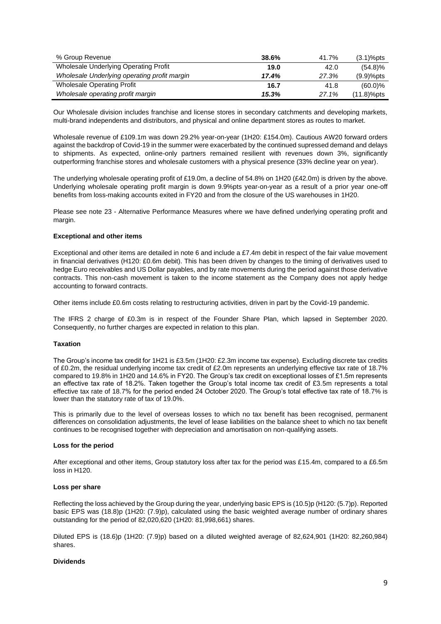| % Group Revenue                              | 38.6% | 41.7% | $(3.1)%$ pts  |
|----------------------------------------------|-------|-------|---------------|
| Wholesale Underlying Operating Profit        | 19.0  | 42.0  | $(54.8)\%$    |
| Wholesale Underlying operating profit margin | 17.4% | 27.3% | $(9.9)%$ pts  |
| <b>Wholesale Operating Profit</b>            | 16.7  | 41.8  | $(60.0)\%$    |
| Wholesale operating profit margin            | 15.3% | 27.1% | $(11.8)%$ pts |

Our Wholesale division includes franchise and license stores in secondary catchments and developing markets, multi-brand independents and distributors, and physical and online department stores as routes to market.

Wholesale revenue of £109.1m was down 29.2% year-on-year (1H20: £154.0m). Cautious AW20 forward orders against the backdrop of Covid-19 in the summer were exacerbated by the continued supressed demand and delays to shipments. As expected, online-only partners remained resilient with revenues down 3%, significantly outperforming franchise stores and wholesale customers with a physical presence (33% decline year on year).

The underlying wholesale operating profit of £19.0m, a decline of 54.8% on 1H20 (£42.0m) is driven by the above. Underlying wholesale operating profit margin is down 9.9%pts year-on-year as a result of a prior year one-off benefits from loss-making accounts exited in FY20 and from the closure of the US warehouses in 1H20.

Please see note 23 - Alternative Performance Measures where we have defined underlying operating profit and margin.

#### **Exceptional and other items**

Exceptional and other items are detailed in note 6 and include a £7.4m debit in respect of the fair value movement in financial derivatives (H120: £0.6m debit). This has been driven by changes to the timing of derivatives used to hedge Euro receivables and US Dollar payables, and by rate movements during the period against those derivative contracts. This non-cash movement is taken to the income statement as the Company does not apply hedge accounting to forward contracts.

Other items include £0.6m costs relating to restructuring activities, driven in part by the Covid-19 pandemic.

The IFRS 2 charge of £0.3m is in respect of the Founder Share Plan, which lapsed in September 2020. Consequently, no further charges are expected in relation to this plan.

#### **Taxation**

The Group's income tax credit for 1H21 is £3.5m (1H20: £2.3m income tax expense). Excluding discrete tax credits of £0.2m, the residual underlying income tax credit of £2.0m represents an underlying effective tax rate of 18.7% compared to 19.8% in 1H20 and 14.6% in FY20. The Group's tax credit on exceptional losses of £1.5m represents an effective tax rate of 18.2%. Taken together the Group's total income tax credit of £3.5m represents a total effective tax rate of 18.7% for the period ended 24 October 2020. The Group's total effective tax rate of 18.7% is lower than the statutory rate of tax of 19.0%.

This is primarily due to the level of overseas losses to which no tax benefit has been recognised, permanent differences on consolidation adjustments, the level of lease liabilities on the balance sheet to which no tax benefit continues to be recognised together with depreciation and amortisation on non-qualifying assets.

#### **Loss for the period**

After exceptional and other items, Group statutory loss after tax for the period was £15.4m, compared to a £6.5m loss in H120.

#### **Loss per share**

Reflecting the loss achieved by the Group during the year, underlying basic EPS is (10.5)p (H120: (5.7)p). Reported basic EPS was (18.8)p (1H20: (7.9)p), calculated using the basic weighted average number of ordinary shares outstanding for the period of 82,020,620 (1H20: 81,998,661) shares.

Diluted EPS is (18.6)p (1H20: (7.9)p) based on a diluted weighted average of 82,624,901 (1H20: 82,260,984) shares.

#### **Dividends**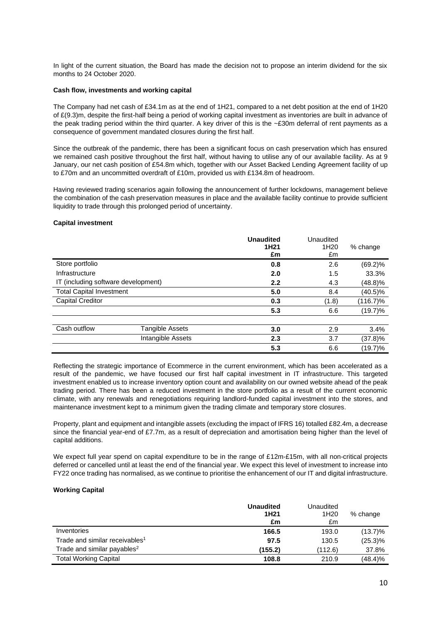In light of the current situation, the Board has made the decision not to propose an interim dividend for the six months to 24 October 2020.

#### **Cash flow, investments and working capital**

The Company had net cash of £34.1m as at the end of 1H21, compared to a net debt position at the end of 1H20 of £(9.3)m, despite the first-half being a period of working capital investment as inventories are built in advance of the peak trading period within the third quarter. A key driver of this is the ~£30m deferral of rent payments as a consequence of government mandated closures during the first half.

Since the outbreak of the pandemic, there has been a significant focus on cash preservation which has ensured we remained cash positive throughout the first half, without having to utilise any of our available facility. As at 9 January, our net cash position of £54.8m which, together with our Asset Backed Lending Agreement facility of up to £70m and an uncommitted overdraft of £10m, provided us with £134.8m of headroom.

Having reviewed trading scenarios again following the announcement of further lockdowns, management believe the combination of the cash preservation measures in place and the available facility continue to provide sufficient liquidity to trade through this prolonged period of uncertainty.

#### **Capital investment**

|                                     |                   | <b>Unaudited</b><br>1H <sub>21</sub><br>£m | Unaudited<br>1H <sub>20</sub><br>£m | % change    |
|-------------------------------------|-------------------|--------------------------------------------|-------------------------------------|-------------|
| Store portfolio                     |                   | 0.8                                        | 2.6                                 | $(69.2)\%$  |
| Infrastructure                      |                   | 2.0                                        | 1.5                                 | 33.3%       |
| IT (including software development) |                   | 2.2                                        | 4.3                                 | (48.8)%     |
| <b>Total Capital Investment</b>     |                   | 5.0                                        | 8.4                                 | $(40.5)\%$  |
| <b>Capital Creditor</b>             |                   | 0.3                                        | (1.8)                               | $(116.7)\%$ |
|                                     |                   | 5.3                                        | 6.6                                 | (19.7)%     |
|                                     |                   |                                            |                                     |             |
| Cash outflow                        | Tangible Assets   | 3.0                                        | 2.9                                 | 3.4%        |
|                                     | Intangible Assets | 2.3                                        | 3.7                                 | $(37.8)\%$  |
|                                     |                   | 5.3                                        | 6.6                                 | (19.7)%     |

Reflecting the strategic importance of Ecommerce in the current environment, which has been accelerated as a result of the pandemic, we have focused our first half capital investment in IT infrastructure. This targeted investment enabled us to increase inventory option count and availability on our owned website ahead of the peak trading period. There has been a reduced investment in the store portfolio as a result of the current economic climate, with any renewals and renegotiations requiring landlord-funded capital investment into the stores, and maintenance investment kept to a minimum given the trading climate and temporary store closures.

Property, plant and equipment and intangible assets (excluding the impact of IFRS 16) totalled £82.4m, a decrease since the financial year-end of £7.7m, as a result of depreciation and amortisation being higher than the level of capital additions.

We expect full year spend on capital expenditure to be in the range of £12m-£15m, with all non-critical projects deferred or cancelled until at least the end of the financial year. We expect this level of investment to increase into FY22 once trading has normalised, as we continue to prioritise the enhancement of our IT and digital infrastructure.

#### **Working Capital**

|                                            | <b>Unaudited</b><br>1H <sub>21</sub><br>£m | Unaudited<br>1H <sub>20</sub><br>£m | % change   |
|--------------------------------------------|--------------------------------------------|-------------------------------------|------------|
| Inventories                                | 166.5                                      | 193.0                               | $(13.7)\%$ |
| Trade and similar receivables <sup>1</sup> | 97.5                                       | 130.5                               | $(25.3)\%$ |
| Trade and similar payables <sup>2</sup>    | (155.2)                                    | (112.6)                             | 37.8%      |
| <b>Total Working Capital</b>               | 108.8                                      | 210.9                               | (48.4)%    |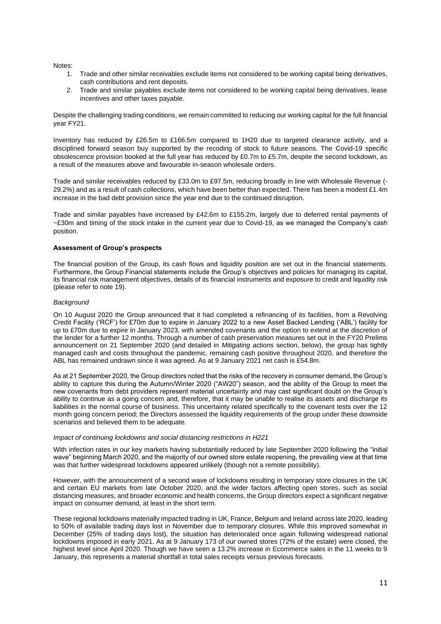Notes:

- 1. Trade and other similar receivables exclude items not considered to be working capital being derivatives, cash contributions and rent deposits.
- 2. Trade and similar payables exclude items not considered to be working capital being derivatives, lease incentives and other taxes payable.

Despite the challenging trading conditions, we remain committed to reducing our working capital for the full financial year FY21.

Inventory has reduced by £26.5m to £166.5m compared to 1H20 due to targeted clearance activity, and a disciplined forward season buy supported by the recoding of stock to future seasons. The Covid-19 specific obsolescence provision booked at the full year has reduced by £0.7m to £5.7m, despite the second lockdown, as a result of the measures above and favourable in-season wholesale orders.

Trade and similar receivables reduced by £33.0m to £97.5m, reducing broadly in line with Wholesale Revenue (- 29.2%) and as a result of cash collections, which have been better than expected. There has been a modest £1.4m increase in the bad debt provision since the year end due to the continued disruption.

Trade and similar payables have increased by £42.6m to £155.2m, largely due to deferred rental payments of ~£30m and timing of the stock intake in the current year due to Covid-19, as we managed the Company's cash position.

#### **Assessment of Group's prospects**

The financial position of the Group, its cash flows and liquidity position are set out in the financial statements. Furthermore, the Group Financial statements include the Group's objectives and policies for managing its capital, its financial risk management objectives, details of its financial instruments and exposure to credit and liquidity risk (please refer to note 19).

#### *Background*

On 10 August 2020 the Group announced that it had completed a refinancing of its facilities, from a Revolving Credit Facility ('RCF') for £70m due to expire in January 2022 to a new Asset Backed Lending ('ABL') facility for up to £70m due to expire in January 2023, with amended covenants and the option to extend at the discretion of the lender for a further 12 months. Through a number of cash preservation measures set out in the FY20 Prelims announcement on 21 September 2020 (and detailed in *Mitigating actions* section, below), the group has tightly managed cash and costs throughout the pandemic, remaining cash positive throughout 2020, and therefore the ABL has remained undrawn since it was agreed. As at 9 January 2021 net cash is £54.8m.

As at 21 September 2020, the Group directors noted that the risks of the recovery in consumer demand, the Group's ability to capture this during the Autumn/Winter 2020 ("AW20") season, and the ability of the Group to meet the new covenants from debt providers represent material uncertainty and may cast significant doubt on the Group's ability to continue as a going concern and, therefore, that it may be unable to realise its assets and discharge its liabilities in the normal course of business. This uncertainty related specifically to the covenant tests over the 12 month going concern period; the Directors assessed the liquidity requirements of the group under these downside scenarios and believed them to be adequate.

#### *Impact of continuing lockdowns and social distancing restrictions in H221*

With infection rates in our key markets having substantially reduced by late September 2020 following the "initial wave" beginning March 2020, and the majority of our owned store estate reopening, the prevailing view at that time was that further widespread lockdowns appeared unlikely (though not a remote possibility).

However, with the announcement of a second wave of lockdowns resulting in temporary store closures in the UK and certain EU markets from late October 2020, and the wider factors affecting open stores, such as social distancing measures, and broader economic and health concerns, the Group directors expect a significant negative impact on consumer demand, at least in the short term.

These regional lockdowns materially impacted trading in UK, France, Belgium and Ireland across late 2020, leading to 50% of available trading days lost in November due to temporary closures. While this improved somewhat in December (25% of trading days lost), the situation has deteriorated once again following widespread national lockdowns imposed in early 2021. As at 9 January 173 of our owned stores (72% of the estate) were closed, the highest level since April 2020. Though we have seen a 13.2% increase in Ecommerce sales in the 11 weeks to 9 January, this represents a material shortfall in total sales receipts versus previous forecasts.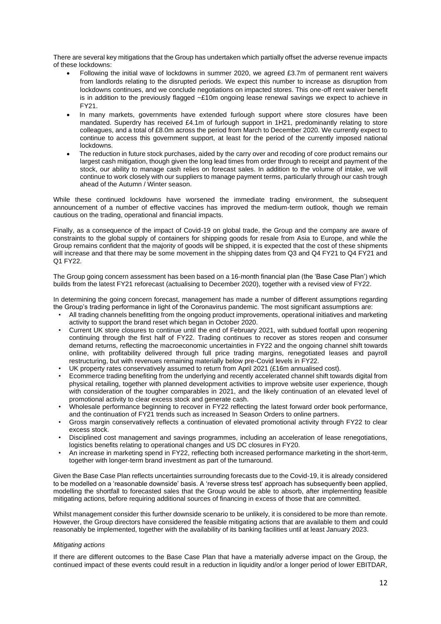There are several key mitigations that the Group has undertaken which partially offset the adverse revenue impacts of these lockdowns:

- Following the initial wave of lockdowns in summer 2020, we agreed £3.7m of permanent rent waivers from landlords relating to the disrupted periods. We expect this number to increase as disruption from lockdowns continues, and we conclude negotiations on impacted stores. This one-off rent waiver benefit is in addition to the previously flagged  $\sim$ £10m ongoing lease renewal savings we expect to achieve in FY21.
- In many markets, governments have extended furlough support where store closures have been mandated. Superdry has received £4.1m of furlough support in 1H21, predominantly relating to store colleagues, and a total of £8.0m across the period from March to December 2020. We currently expect to continue to access this government support, at least for the period of the currently imposed national lockdowns.
- The reduction in future stock purchases, aided by the carry over and recoding of core product remains our largest cash mitigation, though given the long lead times from order through to receipt and payment of the stock, our ability to manage cash relies on forecast sales. In addition to the volume of intake, we will continue to work closely with our suppliers to manage payment terms, particularly through our cash trough ahead of the Autumn / Winter season.

While these continued lockdowns have worsened the immediate trading environment, the subsequent announcement of a number of effective vaccines has improved the medium-term outlook, though we remain cautious on the trading, operational and financial impacts.

Finally, as a consequence of the impact of Covid-19 on global trade, the Group and the company are aware of constraints to the global supply of containers for shipping goods for resale from Asia to Europe, and while the Group remains confident that the majority of goods will be shipped, it is expected that the cost of these shipments will increase and that there may be some movement in the shipping dates from Q3 and Q4 FY21 to Q4 FY21 and Q1 FY22.

The Group going concern assessment has been based on a 16-month financial plan (the 'Base Case Plan') which builds from the latest FY21 reforecast (actualising to December 2020), together with a revised view of FY22.

In determining the going concern forecast, management has made a number of different assumptions regarding the Group's trading performance in light of the Coronavirus pandemic. The most significant assumptions are:

- All trading channels benefitting from the ongoing product improvements, operational initiatives and marketing activity to support the brand reset which began in October 2020.
- Current UK store closures to continue until the end of February 2021, with subdued footfall upon reopening continuing through the first half of FY22. Trading continues to recover as stores reopen and consumer demand returns, reflecting the macroeconomic uncertainties in FY22 and the ongoing channel shift towards online, with profitability delivered through full price trading margins, renegotiated leases and payroll restructuring, but with revenues remaining materially below pre-Covid levels in FY22.
- UK property rates conservatively assumed to return from April 2021 (£16m annualised cost).
- Ecommerce trading benefiting from the underlying and recently accelerated channel shift towards digital from physical retailing, together with planned development activities to improve website user experience, though with consideration of the tougher comparables in 2021, and the likely continuation of an elevated level of promotional activity to clear excess stock and generate cash.
- Wholesale performance beginning to recover in FY22 reflecting the latest forward order book performance, and the continuation of FY21 trends such as increased In Season Orders to online partners.
- Gross margin conservatively reflects a continuation of elevated promotional activity through FY22 to clear excess stock.
- Disciplined cost management and savings programmes, including an acceleration of lease renegotiations, logistics benefits relating to operational changes and US DC closures in FY20.
- An increase in marketing spend in FY22, reflecting both increased performance marketing in the short-term, together with longer-term brand investment as part of the turnaround.

Given the Base Case Plan reflects uncertainties surrounding forecasts due to the Covid-19, it is already considered to be modelled on a 'reasonable downside' basis. A 'reverse stress test' approach has subsequently been applied, modelling the shortfall to forecasted sales that the Group would be able to absorb, after implementing feasible mitigating actions, before requiring additional sources of financing in excess of those that are committed.

Whilst management consider this further downside scenario to be unlikely, it is considered to be more than remote. However, the Group directors have considered the feasible mitigating actions that are available to them and could reasonably be implemented, together with the availability of its banking facilities until at least January 2023.

#### *Mitigating actions*

If there are different outcomes to the Base Case Plan that have a materially adverse impact on the Group, the continued impact of these events could result in a reduction in liquidity and/or a longer period of lower EBITDAR,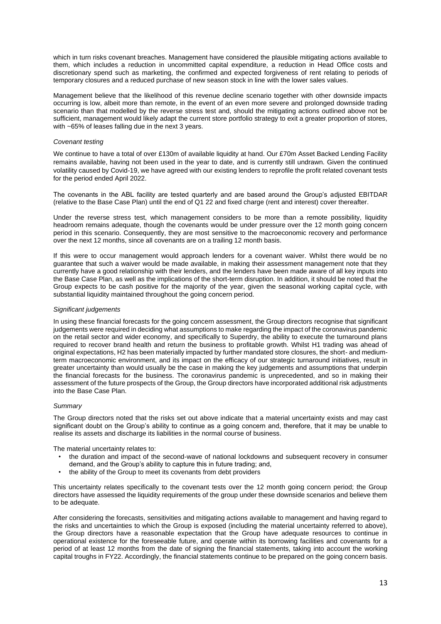which in turn risks covenant breaches. Management have considered the plausible mitigating actions available to them, which includes a reduction in uncommitted capital expenditure, a reduction in Head Office costs and discretionary spend such as marketing, the confirmed and expected forgiveness of rent relating to periods of temporary closures and a reduced purchase of new season stock in line with the lower sales values.

Management believe that the likelihood of this revenue decline scenario together with other downside impacts occurring is low, albeit more than remote, in the event of an even more severe and prolonged downside trading scenario than that modelled by the reverse stress test and, should the mitigating actions outlined above not be sufficient, management would likely adapt the current store portfolio strategy to exit a greater proportion of stores, with ~65% of leases falling due in the next 3 years.

#### *Covenant testing*

We continue to have a total of over £130m of available liquidity at hand. Our £70m Asset Backed Lending Facility remains available, having not been used in the year to date, and is currently still undrawn. Given the continued volatility caused by Covid-19, we have agreed with our existing lenders to reprofile the profit related covenant tests for the period ended April 2022.

The covenants in the ABL facility are tested quarterly and are based around the Group's adjusted EBITDAR (relative to the Base Case Plan) until the end of Q1 22 and fixed charge (rent and interest) cover thereafter.

Under the reverse stress test, which management considers to be more than a remote possibility, liquidity headroom remains adequate, though the covenants would be under pressure over the 12 month going concern period in this scenario. Consequently, they are most sensitive to the macroeconomic recovery and performance over the next 12 months, since all covenants are on a trailing 12 month basis.

If this were to occur management would approach lenders for a covenant waiver. Whilst there would be no guarantee that such a waiver would be made available, in making their assessment management note that they currently have a good relationship with their lenders, and the lenders have been made aware of all key inputs into the Base Case Plan, as well as the implications of the short-term disruption. In addition, it should be noted that the Group expects to be cash positive for the majority of the year, given the seasonal working capital cycle, with substantial liquidity maintained throughout the going concern period.

#### *Significant judgements*

In using these financial forecasts for the going concern assessment, the Group directors recognise that significant judgements were required in deciding what assumptions to make regarding the impact of the coronavirus pandemic on the retail sector and wider economy, and specifically to Superdry, the ability to execute the turnaround plans required to recover brand health and return the business to profitable growth. Whilst H1 trading was ahead of original expectations, H2 has been materially impacted by further mandated store closures, the short- and mediumterm macroeconomic environment, and its impact on the efficacy of our strategic turnaround initiatives, result in greater uncertainty than would usually be the case in making the key judgements and assumptions that underpin the financial forecasts for the business. The coronavirus pandemic is unprecedented, and so in making their assessment of the future prospects of the Group, the Group directors have incorporated additional risk adjustments into the Base Case Plan.

#### *Summary*

The Group directors noted that the risks set out above indicate that a material uncertainty exists and may cast significant doubt on the Group's ability to continue as a going concern and, therefore, that it may be unable to realise its assets and discharge its liabilities in the normal course of business.

The material uncertainty relates to:

- the duration and impact of the second-wave of national lockdowns and subsequent recovery in consumer demand, and the Group's ability to capture this in future trading; and,
- the ability of the Group to meet its covenants from debt providers

This uncertainty relates specifically to the covenant tests over the 12 month going concern period; the Group directors have assessed the liquidity requirements of the group under these downside scenarios and believe them to be adequate.

After considering the forecasts, sensitivities and mitigating actions available to management and having regard to the risks and uncertainties to which the Group is exposed (including the material uncertainty referred to above), the Group directors have a reasonable expectation that the Group have adequate resources to continue in operational existence for the foreseeable future, and operate within its borrowing facilities and covenants for a period of at least 12 months from the date of signing the financial statements, taking into account the working capital troughs in FY22. Accordingly, the financial statements continue to be prepared on the going concern basis.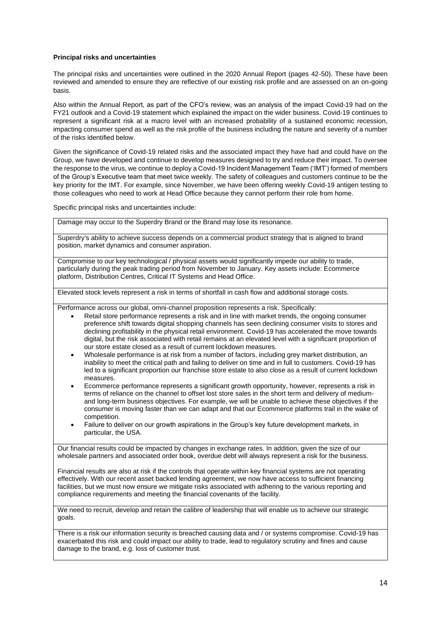#### **Principal risks and uncertainties**

The principal risks and uncertainties were outlined in the 2020 Annual Report (pages 42-50). These have been reviewed and amended to ensure they are reflective of our existing risk profile and are assessed on an on-going basis.

Also within the Annual Report, as part of the CFO's review, was an analysis of the impact Covid-19 had on the FY21 outlook and a Covid-19 statement which explained the impact on the wider business. Covid-19 continues to represent a significant risk at a macro level with an increased probability of a sustained economic recession, impacting consumer spend as well as the risk profile of the business including the nature and severity of a number of the risks identified below.

Given the significance of Covid-19 related risks and the associated impact they have had and could have on the Group, we have developed and continue to develop measures designed to try and reduce their impact. To oversee the response to the virus, we continue to deploy a Covid-19 Incident Management Team ('IMT') formed of members of the Group's Executive team that meet twice weekly. The safety of colleagues and customers continue to be the key priority for the IMT. For example, since November, we have been offering weekly Covid-19 antigen testing to those colleagues who need to work at Head Office because they cannot perform their role from home.

Specific principal risks and uncertainties include:

Damage may occur to the Superdry Brand or the Brand may lose its resonance.

Superdry's ability to achieve success depends on a commercial product strategy that is aligned to brand position, market dynamics and consumer aspiration.

Compromise to our key technological / physical assets would significantly impede our ability to trade, particularly during the peak trading period from November to January. Key assets include: Ecommerce platform, Distribution Centres, Critical IT Systems and Head Office.

Elevated stock levels represent a risk in terms of shortfall in cash flow and additional storage costs.

Performance across our global, omni-channel proposition represents a risk. Specifically:

- Retail store performance represents a risk and in line with market trends, the ongoing consumer preference shift towards digital shopping channels has seen declining consumer visits to stores and declining profitability in the physical retail environment. Covid-19 has accelerated the move towards digital, but the risk associated with retail remains at an elevated level with a significant proportion of our store estate closed as a result of current lockdown measures.
- Wholesale performance is at risk from a number of factors, including grey market distribution, an inability to meet the critical path and failing to deliver on time and in full to customers. Covid-19 has led to a significant proportion our franchise store estate to also close as a result of current lockdown measures.
- Ecommerce performance represents a significant growth opportunity, however, represents a risk in terms of reliance on the channel to offset lost store sales in the short term and delivery of mediumand long-term business objectives. For example, we will be unable to achieve these objectives if the consumer is moving faster than we can adapt and that our Ecommerce platforms trail in the wake of competition.
- Failure to deliver on our growth aspirations in the Group's key future development markets, in particular, the USA.

Our financial results could be impacted by changes in exchange rates. In addition, given the size of our wholesale partners and associated order book, overdue debt will always represent a risk for the business.

Financial results are also at risk if the controls that operate within key financial systems are not operating effectively. With our recent asset backed lending agreement, we now have access to sufficient financing facilities, but we must now ensure we mitigate risks associated with adhering to the various reporting and compliance requirements and meeting the financial covenants of the facility.

We need to recruit, develop and retain the calibre of leadership that will enable us to achieve our strategic goals.

There is a risk our information security is breached causing data and / or systems compromise. Covid-19 has exacerbated this risk and could impact our ability to trade, lead to regulatory scrutiny and fines and cause damage to the brand, e.g. loss of customer trust.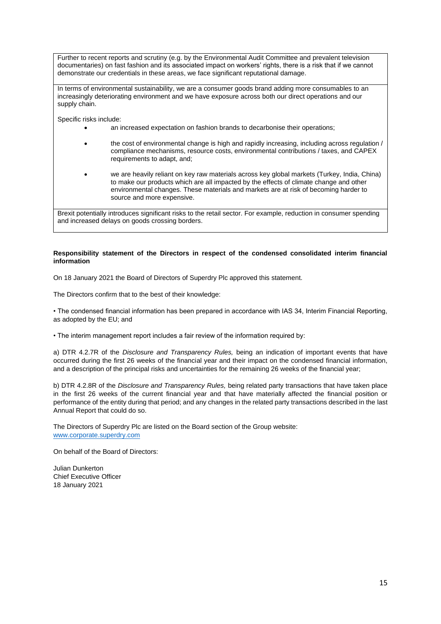Further to recent reports and scrutiny (e.g. by the Environmental Audit Committee and prevalent television documentaries) on fast fashion and its associated impact on workers' rights, there is a risk that if we cannot demonstrate our credentials in these areas, we face significant reputational damage.

In terms of environmental sustainability, we are a consumer goods brand adding more consumables to an increasingly deteriorating environment and we have exposure across both our direct operations and our supply chain.

Specific risks include:

- an increased expectation on fashion brands to decarbonise their operations;
- the cost of environmental change is high and rapidly increasing, including across regulation / compliance mechanisms, resource costs, environmental contributions / taxes, and CAPEX requirements to adapt, and;
- we are heavily reliant on key raw materials across key global markets (Turkey, India, China) to make our products which are all impacted by the effects of climate change and other environmental changes. These materials and markets are at risk of becoming harder to source and more expensive.

Brexit potentially introduces significant risks to the retail sector. For example, reduction in consumer spending and increased delays on goods crossing borders.

### **Responsibility statement of the Directors in respect of the condensed consolidated interim financial information**

On 18 January 2021 the Board of Directors of Superdry Plc approved this statement.

The Directors confirm that to the best of their knowledge:

• The condensed financial information has been prepared in accordance with IAS 34, Interim Financial Reporting, as adopted by the EU; and

• The interim management report includes a fair review of the information required by:

a) DTR 4.2.7R of the *Disclosure and Transparency Rules,* being an indication of important events that have occurred during the first 26 weeks of the financial year and their impact on the condensed financial information, and a description of the principal risks and uncertainties for the remaining 26 weeks of the financial year;

b) DTR 4.2.8R of the *Disclosure and Transparency Rules,* being related party transactions that have taken place in the first 26 weeks of the current financial year and that have materially affected the financial position or performance of the entity during that period; and any changes in the related party transactions described in the last Annual Report that could do so.

The Directors of Superdry Plc are listed on the Board section of the Group website: [www.corporate.superdry.com](http://www.corporate.superdry.com/)

On behalf of the Board of Directors:

Julian Dunkerton Chief Executive Officer 18 January 2021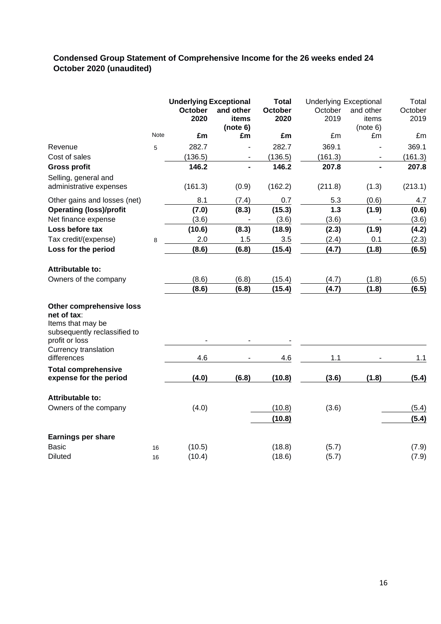### **Condensed Group Statement of Comprehensive Income for the 26 weeks ended 24 October 2020 (unaudited)**

|                                     |      | <b>Underlying Exceptional</b> |           | <b>Total</b>   |         | <b>Underlying Exceptional</b> | Total   |
|-------------------------------------|------|-------------------------------|-----------|----------------|---------|-------------------------------|---------|
|                                     |      | October                       | and other | <b>October</b> | October | and other                     | October |
|                                     |      | 2020                          | items     | 2020           | 2019    | items                         | 2019    |
|                                     |      |                               | (note 6)  |                |         | (note 6)                      |         |
|                                     | Note | £m                            | £m        | £m             | £m      | £m                            | £m      |
| Revenue                             | 5    | 282.7                         |           | 282.7          | 369.1   |                               | 369.1   |
| Cost of sales                       |      | (136.5)                       |           | (136.5)        | (161.3) |                               | (161.3) |
| <b>Gross profit</b>                 |      | 146.2                         |           | 146.2          | 207.8   |                               | 207.8   |
| Selling, general and                |      |                               |           |                |         |                               |         |
| administrative expenses             |      | (161.3)                       | (0.9)     | (162.2)        | (211.8) | (1.3)                         | (213.1) |
| Other gains and losses (net)        |      | 8.1                           | (7.4)     | 0.7            | 5.3     | (0.6)                         | 4.7     |
| <b>Operating (loss)/profit</b>      |      | (7.0)                         | (8.3)     | (15.3)         | 1.3     | (1.9)                         | (0.6)   |
| Net finance expense                 |      | (3.6)                         |           | (3.6)          | (3.6)   |                               | (3.6)   |
| Loss before tax                     |      | (10.6)                        | (8.3)     | (18.9)         | (2.3)   | (1.9)                         | (4.2)   |
| Tax credit/(expense)                | 8    | 2.0                           | 1.5       | 3.5            | (2.4)   | 0.1                           | (2.3)   |
| Loss for the period                 |      | (8.6)                         | (6.8)     | (15.4)         | (4.7)   | (1.8)                         | (6.5)   |
| <b>Attributable to:</b>             |      |                               |           |                |         |                               |         |
| Owners of the company               |      | (8.6)                         | (6.8)     | (15.4)         | (4.7)   | (1.8)                         | (6.5)   |
|                                     |      | (8.6)                         | (6.8)     | (15.4)         | (4.7)   | (1.8)                         | (6.5)   |
| Other comprehensive loss            |      |                               |           |                |         |                               |         |
| net of tax:                         |      |                               |           |                |         |                               |         |
| Items that may be                   |      |                               |           |                |         |                               |         |
| subsequently reclassified to        |      |                               |           |                |         |                               |         |
| profit or loss                      |      |                               |           |                |         |                               |         |
| Currency translation<br>differences |      | 4.6                           |           | 4.6            | 1.1     |                               | 1.1     |
| <b>Total comprehensive</b>          |      |                               |           |                |         |                               |         |
| expense for the period              |      | (4.0)                         | (6.8)     | (10.8)         | (3.6)   | (1.8)                         | (5.4)   |
| Attributable to:                    |      |                               |           |                |         |                               |         |
| Owners of the company               |      | (4.0)                         |           | (10.8)         | (3.6)   |                               | (5.4)   |
|                                     |      |                               |           | (10.8)         |         |                               | (5.4)   |
| Earnings per share                  |      |                               |           |                |         |                               |         |
| <b>Basic</b>                        |      | (10.5)                        |           | (18.8)         | (5.7)   |                               | (7.9)   |
| <b>Diluted</b>                      | 16   | (10.4)                        |           | (18.6)         | (5.7)   |                               | (7.9)   |
|                                     | 16   |                               |           |                |         |                               |         |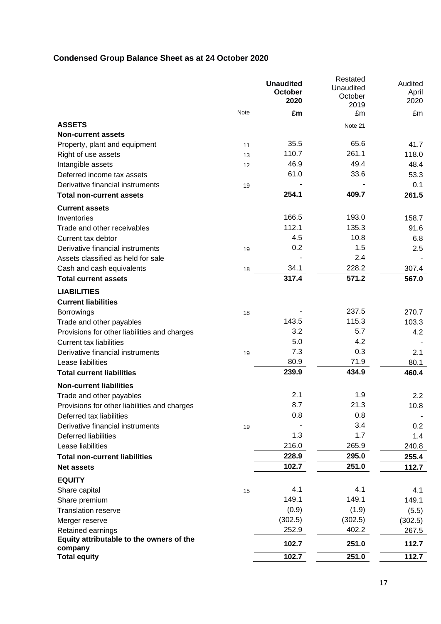# **Condensed Group Balance Sheet as at 24 October 2020**

|                                                     |      | <b>Unaudited</b> | Restated<br>Unaudited | Audited |
|-----------------------------------------------------|------|------------------|-----------------------|---------|
|                                                     |      | October          | October               | April   |
|                                                     |      | 2020             | 2019                  | 2020    |
|                                                     | Note | £m               | £m                    | £m      |
| <b>ASSETS</b>                                       |      |                  | Note 21               |         |
| <b>Non-current assets</b>                           |      |                  |                       |         |
| Property, plant and equipment                       | 11   | 35.5             | 65.6                  | 41.7    |
| Right of use assets                                 | 13   | 110.7            | 261.1                 | 118.0   |
| Intangible assets                                   | 12   | 46.9             | 49.4                  | 48.4    |
| Deferred income tax assets                          |      | 61.0             | 33.6                  | 53.3    |
| Derivative financial instruments                    | 19   |                  |                       | 0.1     |
| <b>Total non-current assets</b>                     |      | 254.1            | 409.7                 | 261.5   |
| <b>Current assets</b>                               |      |                  |                       |         |
| Inventories                                         |      | 166.5            | 193.0                 | 158.7   |
| Trade and other receivables                         |      | 112.1            | 135.3                 | 91.6    |
| Current tax debtor                                  |      | 4.5              | 10.8                  | 6.8     |
| Derivative financial instruments                    | 19   | 0.2              | 1.5                   | 2.5     |
| Assets classified as held for sale                  |      |                  | 2.4                   |         |
| Cash and cash equivalents                           | 18   | 34.1             | 228.2                 | 307.4   |
| <b>Total current assets</b>                         |      | 317.4            | 571.2                 | 567.0   |
| <b>LIABILITIES</b>                                  |      |                  |                       |         |
| <b>Current liabilities</b>                          |      |                  |                       |         |
| <b>Borrowings</b>                                   | 18   |                  | 237.5                 | 270.7   |
| Trade and other payables                            |      | 143.5            | 115.3                 | 103.3   |
| Provisions for other liabilities and charges        |      | 3.2              | 5.7                   | 4.2     |
| <b>Current tax liabilities</b>                      |      | 5.0              | 4.2                   |         |
| Derivative financial instruments                    | 19   | 7.3              | 0.3                   | 2.1     |
| Lease liabilities                                   |      | 80.9             | 71.9                  | 80.1    |
| <b>Total current liabilities</b>                    |      | 239.9            | 434.9                 | 460.4   |
| <b>Non-current liabilities</b>                      |      |                  |                       |         |
| Trade and other payables                            |      | 2.1              | 1.9                   | 2.2     |
| Provisions for other liabilities and charges        |      | 8.7              | 21.3                  | 10.8    |
| Deferred tax liabilities                            |      | 0.8              | 0.8                   |         |
| Derivative financial instruments                    | 19   |                  | 3.4                   | 0.2     |
| <b>Deferred liabilities</b>                         |      | 1.3              | 1.7                   | 1.4     |
| Lease liabilities                                   |      | 216.0            | 265.9                 | 240.8   |
| <b>Total non-current liabilities</b>                |      | 228.9            | 295.0                 | 255.4   |
| <b>Net assets</b>                                   |      | 102.7            | 251.0                 | 112.7   |
| <b>EQUITY</b>                                       |      |                  |                       |         |
| Share capital                                       | 15   | 4.1              | 4.1                   | 4.1     |
| Share premium                                       |      | 149.1            | 149.1                 | 149.1   |
| <b>Translation reserve</b>                          |      | (0.9)            | (1.9)                 | (5.5)   |
| Merger reserve                                      |      | (302.5)          | (302.5)               | (302.5) |
| Retained earnings                                   |      | 252.9            | 402.2                 | 267.5   |
| Equity attributable to the owners of the<br>company |      | 102.7            | 251.0                 | 112.7   |
| <b>Total equity</b>                                 |      | 102.7            | 251.0                 | 112.7   |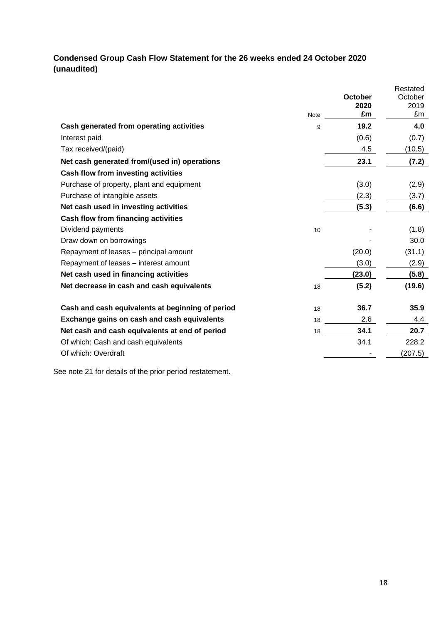## **Condensed Group Cash Flow Statement for the 26 weeks ended 24 October 2020 (unaudited)**

|                                                  | <b>Note</b> | October<br>2020<br>£m | Restated<br>October<br>2019<br>£m |
|--------------------------------------------------|-------------|-----------------------|-----------------------------------|
| Cash generated from operating activities         | 9           | 19.2                  | 4.0                               |
| Interest paid                                    |             | (0.6)                 | (0.7)                             |
| Tax received/(paid)                              |             | 4.5                   | (10.5)                            |
| Net cash generated from/(used in) operations     |             | 23.1                  | (7.2)                             |
| <b>Cash flow from investing activities</b>       |             |                       |                                   |
| Purchase of property, plant and equipment        |             | (3.0)                 | (2.9)                             |
| Purchase of intangible assets                    |             | (2.3)                 | (3.7)                             |
| Net cash used in investing activities            |             | (5.3)                 | (6.6)                             |
| <b>Cash flow from financing activities</b>       |             |                       |                                   |
| Dividend payments                                | 10          |                       | (1.8)                             |
| Draw down on borrowings                          |             |                       | 30.0                              |
| Repayment of leases - principal amount           |             | (20.0)                | (31.1)                            |
| Repayment of leases - interest amount            |             | (3.0)                 | (2.9)                             |
| Net cash used in financing activities            |             | (23.0)                | (5.8)                             |
| Net decrease in cash and cash equivalents        | 18          | (5.2)                 | (19.6)                            |
| Cash and cash equivalents at beginning of period | 18          | 36.7                  | 35.9                              |
| Exchange gains on cash and cash equivalents      | 18          | 2.6                   | 4.4                               |
| Net cash and cash equivalents at end of period   | 18          | 34.1                  | 20.7                              |
| Of which: Cash and cash equivalents              |             | 34.1                  | 228.2                             |
| Of which: Overdraft                              |             |                       | (207.5)                           |

See note 21 for details of the prior period restatement.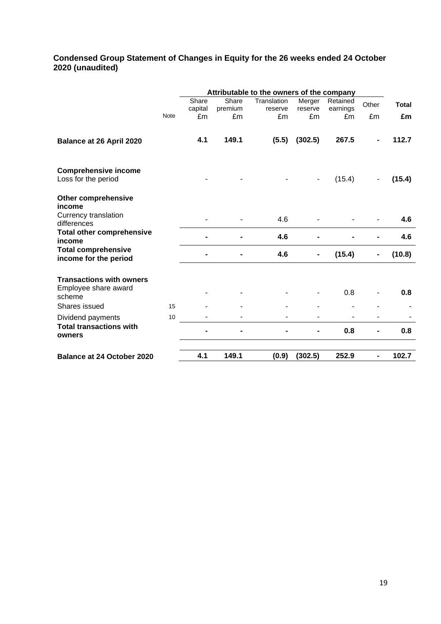### **Condensed Group Statement of Changes in Equity for the 26 weeks ended 24 October 2020 (unaudited)**

|                                                     |             | Attributable to the owners of the company |         |             |         |          |       |              |
|-----------------------------------------------------|-------------|-------------------------------------------|---------|-------------|---------|----------|-------|--------------|
|                                                     |             | Share                                     | Share   | Translation | Merger  | Retained | Other | <b>Total</b> |
|                                                     |             | capital                                   | premium | reserve     | reserve | earnings |       |              |
|                                                     | <b>Note</b> | £m                                        | £m      | £m          | £m      | £m       | £m    | £m           |
|                                                     |             | 4.1                                       | 149.1   | (5.5)       | (302.5) | 267.5    |       | 112.7        |
| Balance at 26 April 2020                            |             |                                           |         |             |         |          |       |              |
| <b>Comprehensive income</b>                         |             |                                           |         |             |         |          |       |              |
| Loss for the period                                 |             |                                           |         |             |         | (15.4)   |       | (15.4)       |
| <b>Other comprehensive</b><br>income                |             |                                           |         |             |         |          |       |              |
| Currency translation<br>differences                 |             |                                           |         | 4.6         |         |          |       | 4.6          |
| <b>Total other comprehensive</b><br>income          |             |                                           |         | 4.6         |         |          |       | 4.6          |
| <b>Total comprehensive</b><br>income for the period |             |                                           |         | 4.6         |         | (15.4)   |       | (10.8)       |
| <b>Transactions with owners</b>                     |             |                                           |         |             |         |          |       |              |
| Employee share award<br>scheme                      |             |                                           |         |             |         | 0.8      |       | 0.8          |
| Shares issued                                       | 15          |                                           |         |             |         |          |       |              |
| Dividend payments                                   | 10          |                                           |         |             |         |          |       |              |
| <b>Total transactions with</b><br>owners            |             |                                           |         |             |         | 0.8      |       | 0.8          |
| <b>Balance at 24 October 2020</b>                   |             | 4.1                                       | 149.1   | (0.9)       | (302.5) | 252.9    |       | 102.7        |
|                                                     |             |                                           |         |             |         |          |       |              |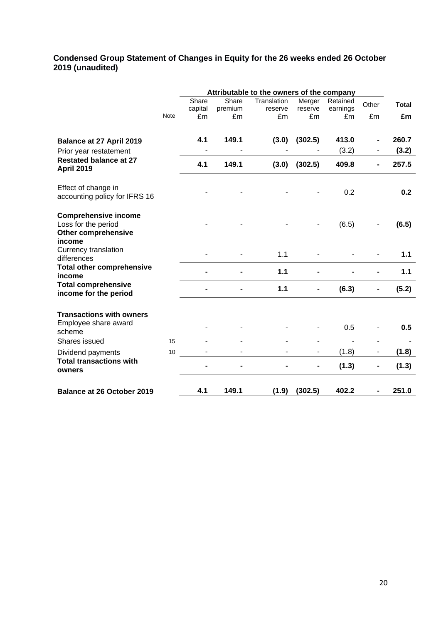### **Condensed Group Statement of Changes in Equity for the 26 weeks ended 26 October 2019 (unaudited)**

|                                                                                            |             | Attributable to the owners of the company |               |               |               |                |       |              |
|--------------------------------------------------------------------------------------------|-------------|-------------------------------------------|---------------|---------------|---------------|----------------|-------|--------------|
|                                                                                            |             | Share                                     | Share         | Translation   | Merger        | Retained       | Other | <b>Total</b> |
|                                                                                            | <b>Note</b> | capital<br>£m                             | premium<br>£m | reserve<br>£m | reserve<br>£m | earnings<br>£m | £m    | £m           |
|                                                                                            |             |                                           |               |               |               |                |       |              |
| Balance at 27 April 2019                                                                   |             | 4.1                                       | 149.1         | (3.0)         | (302.5)       | 413.0          |       | 260.7        |
| Prior year restatement                                                                     |             |                                           |               |               |               | (3.2)          |       | (3.2)        |
| <b>Restated balance at 27</b><br><b>April 2019</b>                                         |             | 4.1                                       | 149.1         | (3.0)         | (302.5)       | 409.8          |       | 257.5        |
| Effect of change in<br>accounting policy for IFRS 16                                       |             |                                           |               |               |               | 0.2            |       | 0.2          |
| <b>Comprehensive income</b><br>Loss for the period<br><b>Other comprehensive</b><br>income |             |                                           |               |               |               | (6.5)          |       | (6.5)        |
| Currency translation<br>differences                                                        |             |                                           |               | 1.1           |               |                |       | 1.1          |
| <b>Total other comprehensive</b><br>income                                                 |             |                                           |               | $1.1$         |               |                |       | 1.1          |
| <b>Total comprehensive</b><br>income for the period                                        |             |                                           |               | 1.1           |               | (6.3)          |       | (5.2)        |
| <b>Transactions with owners</b><br>Employee share award<br>scheme                          |             |                                           |               |               |               | 0.5            |       | 0.5          |
| Shares issued                                                                              | 15          |                                           |               |               |               |                |       |              |
| Dividend payments                                                                          | 10          |                                           |               |               |               | (1.8)          |       | (1.8)        |
| <b>Total transactions with</b><br>owners                                                   |             |                                           |               |               |               | (1.3)          |       | (1.3)        |
| <b>Balance at 26 October 2019</b>                                                          |             | 4.1                                       | 149.1         | (1.9)         | (302.5)       | 402.2          |       | 251.0        |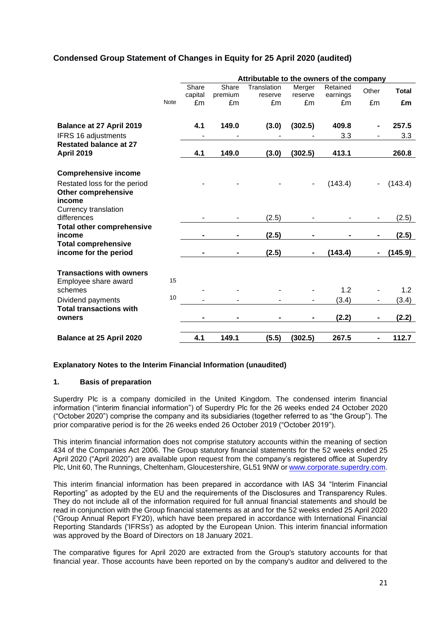### **Condensed Group Statement of Changes in Equity for 25 April 2020 (audited)**

|                                  |             |         |         | Attributable to the owners of the company |         |          |       |              |
|----------------------------------|-------------|---------|---------|-------------------------------------------|---------|----------|-------|--------------|
|                                  |             | Share   | Share   | Translation                               | Merger  | Retained | Other | <b>Total</b> |
|                                  |             | capital | premium | reserve                                   | reserve | earnings |       |              |
|                                  | <b>Note</b> | £m      | £m      | £m                                        | £m      | £m       | £m    | £m           |
|                                  |             |         |         |                                           |         |          |       |              |
| Balance at 27 April 2019         |             | 4.1     | 149.0   | (3.0)                                     | (302.5) | 409.8    |       | 257.5        |
| IFRS 16 adjustments              |             |         |         |                                           |         | 3.3      |       | 3.3          |
| <b>Restated balance at 27</b>    |             |         |         |                                           |         |          |       |              |
| <b>April 2019</b>                |             | 4.1     | 149.0   | (3.0)                                     | (302.5) | 413.1    |       | 260.8        |
|                                  |             |         |         |                                           |         |          |       |              |
| <b>Comprehensive income</b>      |             |         |         |                                           |         |          |       |              |
| Restated loss for the period     |             |         |         |                                           |         | (143.4)  |       | (143.4)      |
| <b>Other comprehensive</b>       |             |         |         |                                           |         |          |       |              |
| income                           |             |         |         |                                           |         |          |       |              |
| Currency translation             |             |         |         |                                           |         |          |       |              |
| differences                      |             |         |         | (2.5)                                     |         |          |       | (2.5)        |
| <b>Total other comprehensive</b> |             |         |         |                                           |         |          |       |              |
| income                           |             |         |         | (2.5)                                     |         |          |       | (2.5)        |
| <b>Total comprehensive</b>       |             |         |         |                                           |         |          |       |              |
| income for the period            |             |         |         | (2.5)                                     |         | (143.4)  |       | (145.9)      |
|                                  |             |         |         |                                           |         |          |       |              |
| <b>Transactions with owners</b>  |             |         |         |                                           |         |          |       |              |
| Employee share award             | 15          |         |         |                                           |         | 1.2      |       |              |
| schemes                          | 10          |         |         |                                           |         |          |       | 1.2          |
| Dividend payments                |             |         |         |                                           |         | (3.4)    |       | (3.4)        |
| <b>Total transactions with</b>   |             |         |         |                                           |         |          |       |              |
| owners                           |             |         |         |                                           |         | (2.2)    |       | (2.2)        |
|                                  |             |         |         |                                           |         |          |       |              |
| Balance at 25 April 2020         |             | 4.1     | 149.1   | (5.5)                                     | (302.5) | 267.5    |       | 112.7        |

### **Explanatory Notes to the Interim Financial Information (unaudited)**

### **1. Basis of preparation**

Superdry Plc is a company domiciled in the United Kingdom. The condensed interim financial information ("interim financial information") of Superdry Plc for the 26 weeks ended 24 October 2020 ("October 2020") comprise the company and its subsidiaries (together referred to as "the Group"). The prior comparative period is for the 26 weeks ended 26 October 2019 ("October 2019").

This interim financial information does not comprise statutory accounts within the meaning of section 434 of the Companies Act 2006. The Group statutory financial statements for the 52 weeks ended 25 April 2020 ("April 2020") are available upon request from the company's registered office at Superdry Plc, Unit 60, The Runnings, Cheltenham, Gloucestershire, GL51 9NW or www.corporate.superdry.com.

This interim financial information has been prepared in accordance with IAS 34 "Interim Financial Reporting" as adopted by the EU and the requirements of the Disclosures and Transparency Rules. They do not include all of the information required for full annual financial statements and should be read in conjunction with the Group financial statements as at and for the 52 weeks ended 25 April 2020 ("Group Annual Report FY20), which have been prepared in accordance with International Financial Reporting Standards ('IFRSs') as adopted by the European Union. This interim financial information was approved by the Board of Directors on 18 January 2021.

The comparative figures for April 2020 are extracted from the Group's statutory accounts for that financial year. Those accounts have been reported on by the company's auditor and delivered to the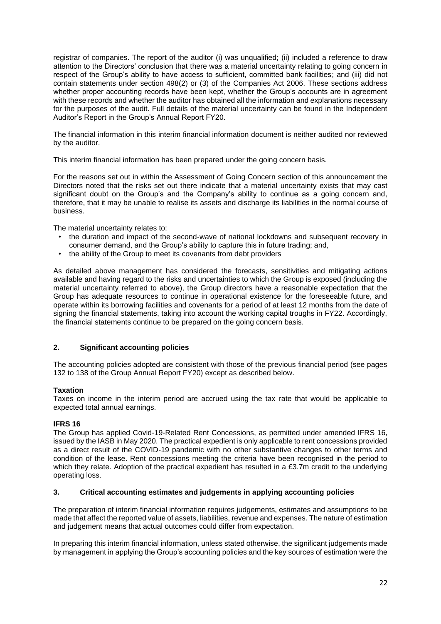registrar of companies. The report of the auditor (i) was unqualified; (ii) included a reference to draw attention to the Directors' conclusion that there was a material uncertainty relating to going concern in respect of the Group's ability to have access to sufficient, committed bank facilities; and (iii) did not contain statements under section 498(2) or (3) of the Companies Act 2006. These sections address whether proper accounting records have been kept, whether the Group's accounts are in agreement with these records and whether the auditor has obtained all the information and explanations necessary for the purposes of the audit. Full details of the material uncertainty can be found in the Independent Auditor's Report in the Group's Annual Report FY20.

The financial information in this interim financial information document is neither audited nor reviewed by the auditor.

This interim financial information has been prepared under the going concern basis.

For the reasons set out in within the Assessment of Going Concern section of this announcement the Directors noted that the risks set out there indicate that a material uncertainty exists that may cast significant doubt on the Group's and the Company's ability to continue as a going concern and, therefore, that it may be unable to realise its assets and discharge its liabilities in the normal course of business.

The material uncertainty relates to:

- the duration and impact of the second-wave of national lockdowns and subsequent recovery in consumer demand, and the Group's ability to capture this in future trading; and,
- the ability of the Group to meet its covenants from debt providers

As detailed above management has considered the forecasts, sensitivities and mitigating actions available and having regard to the risks and uncertainties to which the Group is exposed (including the material uncertainty referred to above), the Group directors have a reasonable expectation that the Group has adequate resources to continue in operational existence for the foreseeable future, and operate within its borrowing facilities and covenants for a period of at least 12 months from the date of signing the financial statements, taking into account the working capital troughs in FY22. Accordingly, the financial statements continue to be prepared on the going concern basis.

### **2. Significant accounting policies**

The accounting policies adopted are consistent with those of the previous financial period (see pages 132 to 138 of the Group Annual Report FY20) except as described below.

### **Taxation**

Taxes on income in the interim period are accrued using the tax rate that would be applicable to expected total annual earnings.

### **IFRS 16**

The Group has applied Covid-19-Related Rent Concessions, as permitted under amended IFRS 16, issued by the IASB in May 2020. The practical expedient is only applicable to rent concessions provided as a direct result of the COVID-19 pandemic with no other substantive changes to other terms and condition of the lease. Rent concessions meeting the criteria have been recognised in the period to which they relate. Adoption of the practical expedient has resulted in a £3.7m credit to the underlying operating loss.

### **3. Critical accounting estimates and judgements in applying accounting policies**

The preparation of interim financial information requires judgements, estimates and assumptions to be made that affect the reported value of assets, liabilities, revenue and expenses. The nature of estimation and judgement means that actual outcomes could differ from expectation.

In preparing this interim financial information, unless stated otherwise, the significant judgements made by management in applying the Group's accounting policies and the key sources of estimation were the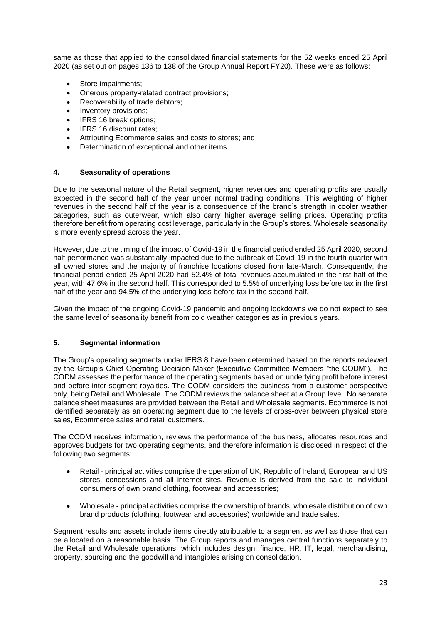same as those that applied to the consolidated financial statements for the 52 weeks ended 25 April 2020 (as set out on pages 136 to 138 of the Group Annual Report FY20). These were as follows:

- Store impairments;
- Onerous property-related contract provisions;
- Recoverability of trade debtors;
- Inventory provisions:
- IFRS 16 break options;
- IFRS 16 discount rates:
- Attributing Ecommerce sales and costs to stores; and
- Determination of exceptional and other items.

### **4. Seasonality of operations**

Due to the seasonal nature of the Retail segment, higher revenues and operating profits are usually expected in the second half of the year under normal trading conditions. This weighting of higher revenues in the second half of the year is a consequence of the brand's strength in cooler weather categories, such as outerwear, which also carry higher average selling prices. Operating profits therefore benefit from operating cost leverage, particularly in the Group's stores. Wholesale seasonality is more evenly spread across the year.

However, due to the timing of the impact of Covid-19 in the financial period ended 25 April 2020, second half performance was substantially impacted due to the outbreak of Covid-19 in the fourth quarter with all owned stores and the majority of franchise locations closed from late-March. Consequently, the financial period ended 25 April 2020 had 52.4% of total revenues accumulated in the first half of the year, with 47.6% in the second half. This corresponded to 5.5% of underlying loss before tax in the first half of the year and 94.5% of the underlying loss before tax in the second half.

Given the impact of the ongoing Covid-19 pandemic and ongoing lockdowns we do not expect to see the same level of seasonality benefit from cold weather categories as in previous years.

### **5. Segmental information**

The Group's operating segments under IFRS 8 have been determined based on the reports reviewed by the Group's Chief Operating Decision Maker (Executive Committee Members "the CODM"). The CODM assesses the performance of the operating segments based on underlying profit before interest and before inter-segment royalties. The CODM considers the business from a customer perspective only, being Retail and Wholesale. The CODM reviews the balance sheet at a Group level. No separate balance sheet measures are provided between the Retail and Wholesale segments. Ecommerce is not identified separately as an operating segment due to the levels of cross-over between physical store sales, Ecommerce sales and retail customers.

The CODM receives information, reviews the performance of the business, allocates resources and approves budgets for two operating segments, and therefore information is disclosed in respect of the following two segments:

- Retail principal activities comprise the operation of UK, Republic of Ireland, European and US stores, concessions and all internet sites. Revenue is derived from the sale to individual consumers of own brand clothing, footwear and accessories;
- Wholesale principal activities comprise the ownership of brands, wholesale distribution of own brand products (clothing, footwear and accessories) worldwide and trade sales.

Segment results and assets include items directly attributable to a segment as well as those that can be allocated on a reasonable basis. The Group reports and manages central functions separately to the Retail and Wholesale operations, which includes design, finance, HR, IT, legal, merchandising, property, sourcing and the goodwill and intangibles arising on consolidation.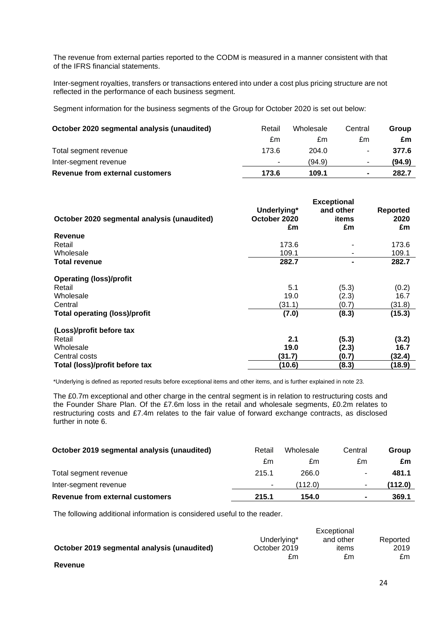The revenue from external parties reported to the CODM is measured in a manner consistent with that of the IFRS financial statements.

Inter-segment royalties, transfers or transactions entered into under a cost plus pricing structure are not reflected in the performance of each business segment.

Segment information for the business segments of the Group for October 2020 is set out below:

| October 2020 segmental analysis (unaudited) | Retail | Wholesale | Central        | Group  |
|---------------------------------------------|--------|-----------|----------------|--------|
|                                             | £m     | £m        | £m             | £m     |
| Total segment revenue                       | 173.6  | 204.0     | ۰.             | 377.6  |
| Inter-segment revenue                       | ۰      | (94.9)    | $\sim$         | (94.9) |
| Revenue from external customers             | 173.6  | 109.1     | $\blacksquare$ | 282.7  |

| October 2020 segmental analysis (unaudited) | Underlying*<br>October 2020<br>£m | <b>Exceptional</b><br>and other<br>items<br>£m | <b>Reported</b><br>2020<br>£m |
|---------------------------------------------|-----------------------------------|------------------------------------------------|-------------------------------|
| <b>Revenue</b>                              |                                   |                                                |                               |
| Retail                                      | 173.6                             |                                                | 173.6                         |
| Wholesale                                   | 109.1                             |                                                | 109.1                         |
| <b>Total revenue</b>                        | 282.7                             |                                                | 282.7                         |
| <b>Operating (loss)/profit</b>              |                                   |                                                |                               |
| Retail                                      | 5.1                               | (5.3)                                          | (0.2)                         |
| Wholesale                                   | 19.0                              | (2.3)                                          | 16.7                          |
| Central                                     | (31.1)                            | (0.7)                                          | (31.8)                        |
| <b>Total operating (loss)/profit</b>        | (7.0)                             | (8.3)                                          | (15.3)                        |
| (Loss)/profit before tax                    |                                   |                                                |                               |
| Retail                                      | 2.1                               | (5.3)                                          | (3.2)                         |
| Wholesale                                   | 19.0                              | (2.3)                                          | 16.7                          |
| Central costs                               | (31.7)                            | (0.7)                                          | (32.4)                        |
| Total (loss)/profit before tax              | (10.6)                            | (8.3)                                          | (18.9)                        |

\*Underlying is defined as reported results before exceptional items and other items, and is further explained in note 23.

The £0.7m exceptional and other charge in the central segment is in relation to restructuring costs and the Founder Share Plan. Of the £7.6m loss in the retail and wholesale segments, £0.2m relates to restructuring costs and £7.4m relates to the fair value of forward exchange contracts, as disclosed further in note 6.

| Revenue from external customers             | 215.1  | 154.0     | $\blacksquare$           | 369.1   |
|---------------------------------------------|--------|-----------|--------------------------|---------|
| Inter-segment revenue                       | ٠.     | (112.0)   | $\overline{\phantom{a}}$ | (112.0) |
| Total segment revenue                       | 215.1  | 266.0     | ۰                        | 481.1   |
|                                             | £m     | £m        | £m                       | £m      |
| October 2019 segmental analysis (unaudited) | Retail | Wholesale | Central                  | Group   |

The following additional information is considered useful to the reader.

|                                             |              | Exceptional |          |
|---------------------------------------------|--------------|-------------|----------|
|                                             | Underlying*  | and other   | Reported |
| October 2019 segmental analysis (unaudited) | October 2019 | items       | 2019     |
|                                             | £m           | £m          | £m       |
| Revenue                                     |              |             |          |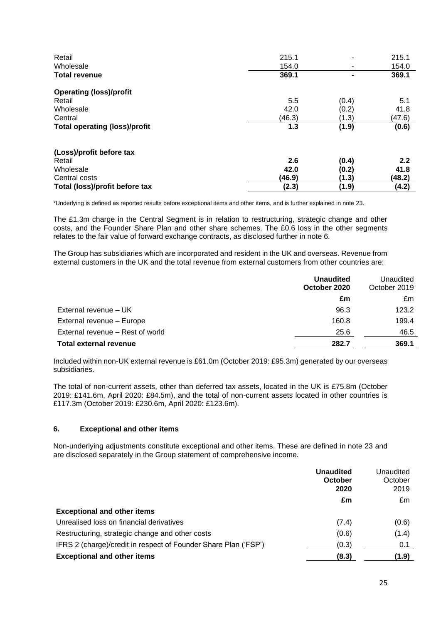| Retail<br>Wholesale<br><b>Total revenue</b> | 215.1<br>154.0<br>369.1 | $\blacksquare$<br>۰ | 215.1<br>154.0<br>369.1 |
|---------------------------------------------|-------------------------|---------------------|-------------------------|
| <b>Operating (loss)/profit</b>              |                         |                     |                         |
| Retail                                      | 5.5                     | (0.4)               | 5.1                     |
| Wholesale                                   | 42.0                    | (0.2)               | 41.8                    |
| Central                                     | (46.3)                  | (1.3)               | (47.6)                  |
| <b>Total operating (loss)/profit</b>        | 1.3                     | (1.9)               | (0.6)                   |
| (Loss)/profit before tax                    |                         |                     |                         |
| Retail                                      | 2.6                     | (0.4)               | 2.2                     |
| Wholesale                                   | 42.0                    | (0.2)               | 41.8                    |
| Central costs                               | (46.9)                  | (1.3)               | (48.2)                  |
| Total (loss)/profit before tax              | (2.3)                   | (1.9)               | (4.2)                   |

\*Underlying is defined as reported results before exceptional items and other items, and is further explained in note 23.

The £1.3m charge in the Central Segment is in relation to restructuring, strategic change and other costs, and the Founder Share Plan and other share schemes. The £0.6 loss in the other segments relates to the fair value of forward exchange contracts, as disclosed further in note 6.

The Group has subsidiaries which are incorporated and resident in the UK and overseas. Revenue from external customers in the UK and the total revenue from external customers from other countries are:

|                                  | <b>Unaudited</b><br>October 2020 | Unaudited<br>October 2019 |
|----------------------------------|----------------------------------|---------------------------|
|                                  | £m                               | £m                        |
| External revenue - UK            | 96.3                             | 123.2                     |
| External revenue - Europe        | 160.8                            | 199.4                     |
| External revenue - Rest of world | 25.6                             | 46.5                      |
| <b>Total external revenue</b>    | 282.7                            | 369.1                     |

Included within non-UK external revenue is £61.0m (October 2019: £95.3m) generated by our overseas subsidiaries.

The total of non-current assets, other than deferred tax assets, located in the UK is £75.8m (October 2019: £141.6m, April 2020: £84.5m), and the total of non-current assets located in other countries is £117.3m (October 2019: £230.6m, April 2020: £123.6m).

### **6. Exceptional and other items**

Non-underlying adjustments constitute exceptional and other items. These are defined in note 23 and are disclosed separately in the Group statement of comprehensive income.

|                                                                 | <b>Unaudited</b><br>October<br>2020 | Unaudited<br>October<br>2019 |
|-----------------------------------------------------------------|-------------------------------------|------------------------------|
|                                                                 | £m                                  | £m                           |
| <b>Exceptional and other items</b>                              |                                     |                              |
| Unrealised loss on financial derivatives                        | (7.4)                               | (0.6)                        |
| Restructuring, strategic change and other costs                 | (0.6)                               | (1.4)                        |
| IFRS 2 (charge)/credit in respect of Founder Share Plan ('FSP') | (0.3)                               | 0.1                          |
| <b>Exceptional and other items</b>                              | (8.3)                               | (1.9)                        |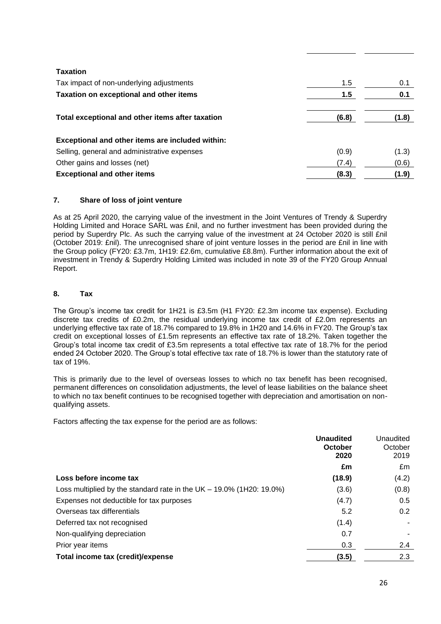| <b>Taxation</b>                                  |       |       |
|--------------------------------------------------|-------|-------|
| Tax impact of non-underlying adjustments         | 1.5   | 0.1   |
| Taxation on exceptional and other items          | 1.5   | 0.1   |
| Total exceptional and other items after taxation | (6.8) | (1.8) |
| Exceptional and other items are included within: |       |       |
| Selling, general and administrative expenses     | (0.9) | (1.3) |
| Other gains and losses (net)                     | (7.4) | (0.6) |
| <b>Exceptional and other items</b>               | (8.3) | (1.9) |

### **7. Share of loss of joint venture**

As at 25 April 2020, the carrying value of the investment in the Joint Ventures of Trendy & Superdry Holding Limited and Horace SARL was £nil, and no further investment has been provided during the period by Superdry Plc. As such the carrying value of the investment at 24 October 2020 is still £nil (October 2019: £nil). The unrecognised share of joint venture losses in the period are £nil in line with the Group policy (FY20: £3.7m, 1H19: £2.6m, cumulative £8.8m). Further information about the exit of investment in Trendy & Superdry Holding Limited was included in note 39 of the FY20 Group Annual Report.

### **8. Tax**

The Group's income tax credit for 1H21 is £3.5m (H1 FY20: £2.3m income tax expense). Excluding discrete tax credits of £0.2m, the residual underlying income tax credit of £2.0m represents an underlying effective tax rate of 18.7% compared to 19.8% in 1H20 and 14.6% in FY20. The Group's tax credit on exceptional losses of £1.5m represents an effective tax rate of 18.2%. Taken together the Group's total income tax credit of £3.5m represents a total effective tax rate of 18.7% for the period ended 24 October 2020. The Group's total effective tax rate of 18.7% is lower than the statutory rate of tax of 19%.

This is primarily due to the level of overseas losses to which no tax benefit has been recognised, permanent differences on consolidation adjustments, the level of lease liabilities on the balance sheet to which no tax benefit continues to be recognised together with depreciation and amortisation on nonqualifying assets.

Factors affecting the tax expense for the period are as follows:

|                                                                         | <b>Unaudited</b><br>October<br>2020 | Unaudited<br>October<br>2019 |
|-------------------------------------------------------------------------|-------------------------------------|------------------------------|
|                                                                         | £m                                  | £m                           |
| Loss before income tax                                                  | (18.9)                              | (4.2)                        |
| Loss multiplied by the standard rate in the $UK - 19.0\%$ (1H20: 19.0%) | (3.6)                               | (0.8)                        |
| Expenses not deductible for tax purposes                                | (4.7)                               | 0.5                          |
| Overseas tax differentials                                              | 5.2                                 | 0.2                          |
| Deferred tax not recognised                                             | (1.4)                               |                              |
| Non-qualifying depreciation                                             | 0.7                                 |                              |
| Prior year items                                                        | 0.3                                 | 2.4                          |
| Total income tax (credit)/expense                                       | (3.5)                               | 2.3                          |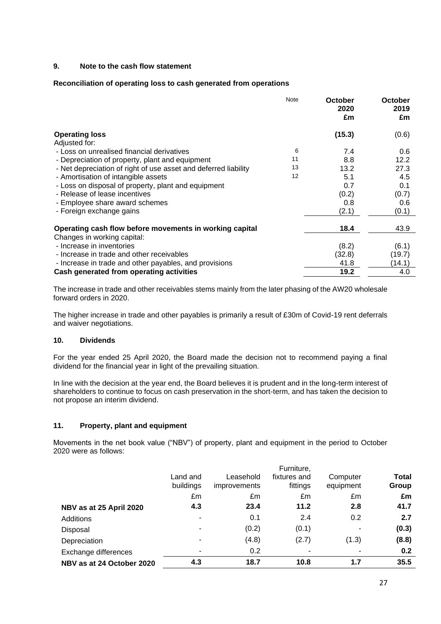### **9. Note to the cash flow statement**

### **Reconciliation of operating loss to cash generated from operations**

|                                                                 | <b>Note</b> | October<br>2020<br>£m | October<br>2019<br>£m |
|-----------------------------------------------------------------|-------------|-----------------------|-----------------------|
| <b>Operating loss</b>                                           |             | (15.3)                | (0.6)                 |
| Adjusted for:                                                   |             |                       |                       |
| - Loss on unrealised financial derivatives                      | 6           | 7.4                   | 0.6                   |
| - Depreciation of property, plant and equipment                 | 11          | 8.8                   | 12.2                  |
| - Net depreciation of right of use asset and deferred liability | 13          | 13.2                  | 27.3                  |
| - Amortisation of intangible assets                             | 12          | 5.1                   | 4.5                   |
| - Loss on disposal of property, plant and equipment             |             | 0.7                   | 0.1                   |
| - Release of lease incentives                                   |             | (0.2)                 | (0.7)                 |
| - Employee share award schemes                                  |             | 0.8                   | 0.6                   |
| - Foreign exchange gains                                        |             | (2.1)                 | (0.1)                 |
| Operating cash flow before movements in working capital         |             | 18.4                  | 43.9                  |
| Changes in working capital:                                     |             |                       |                       |
| - Increase in inventories                                       |             | (8.2)                 | (6.1)                 |
| - Increase in trade and other receivables                       |             | (32.8)                | (19.7)                |
| - Increase in trade and other payables, and provisions          |             | 41.8                  | (14.1)                |
| Cash generated from operating activities                        |             | 19.2                  | 4.0                   |

The increase in trade and other receivables stems mainly from the later phasing of the AW20 wholesale forward orders in 2020.

The higher increase in trade and other payables is primarily a result of £30m of Covid-19 rent deferrals and waiver negotiations.

### **10. Dividends**

For the year ended 25 April 2020, the Board made the decision not to recommend paying a final dividend for the financial year in light of the prevailing situation.

In line with the decision at the year end, the Board believes it is prudent and in the long-term interest of shareholders to continue to focus on cash preservation in the short-term, and has taken the decision to not propose an interim dividend.

### **11. Property, plant and equipment**

Movements in the net book value ("NBV") of property, plant and equipment in the period to October 2020 were as follows:

|                           | Land and<br>buildings | Leasehold<br><i>improvements</i> | Furniture,<br>fixtures and<br>fittings | Computer<br>equipment | <b>Total</b><br>Group |
|---------------------------|-----------------------|----------------------------------|----------------------------------------|-----------------------|-----------------------|
|                           | £m                    | £m                               | £m                                     | £m                    | £m                    |
| NBV as at 25 April 2020   | 4.3                   | 23.4                             | 11.2                                   | 2.8                   | 41.7                  |
| Additions                 |                       | 0.1                              | 2.4                                    | 0.2                   | 2.7                   |
| Disposal                  |                       | (0.2)                            | (0.1)                                  |                       | (0.3)                 |
| Depreciation              |                       | (4.8)                            | (2.7)                                  | (1.3)                 | (8.8)                 |
| Exchange differences      |                       | 0.2                              |                                        |                       | 0.2                   |
| NBV as at 24 October 2020 | 4.3                   | 18.7                             | 10.8                                   | 1.7                   | 35.5                  |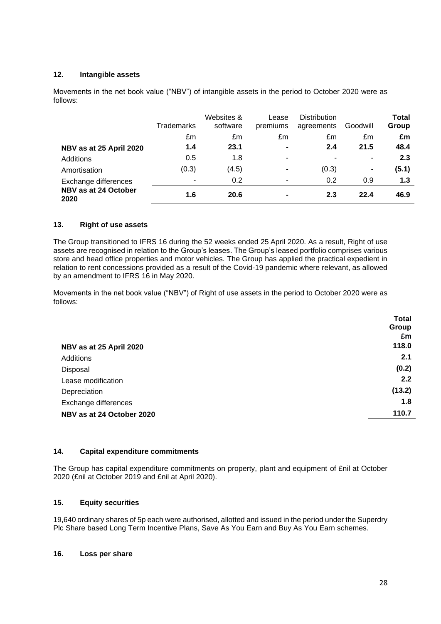### **12. Intangible assets**

Movements in the net book value ("NBV") of intangible assets in the period to October 2020 were as follows:

|                              | Trademarks               | Websites &<br>software | Lease<br>premiums        | <b>Distribution</b><br>agreements | Goodwill | Total<br>Group |
|------------------------------|--------------------------|------------------------|--------------------------|-----------------------------------|----------|----------------|
|                              | £m                       | £m                     | £m                       | £m                                | £m       | £m             |
| NBV as at 25 April 2020      | 1.4                      | 23.1                   | $\blacksquare$           | 2.4                               | 21.5     | 48.4           |
| Additions                    | 0.5                      | 1.8                    | ۰                        | ٠                                 | ۰        | 2.3            |
| Amortisation                 | (0.3)                    | (4.5)                  | ٠                        | (0.3)                             | ۰        | (5.1)          |
| Exchange differences         | $\overline{\phantom{0}}$ | 0.2                    | $\overline{\phantom{a}}$ | 0.2                               | 0.9      | 1.3            |
| NBV as at 24 October<br>2020 | 1.6                      | 20.6                   | $\blacksquare$           | 2.3                               | 22.4     | 46.9           |

### **13. Right of use assets**

The Group transitioned to IFRS 16 during the 52 weeks ended 25 April 2020. As a result, Right of use assets are recognised in relation to the Group's leases. The Group's leased portfolio comprises various store and head office properties and motor vehicles. The Group has applied the practical expedient in relation to rent concessions provided as a result of the Covid-19 pandemic where relevant, as allowed by an amendment to IFRS 16 in May 2020.

Movements in the net book value ("NBV") of Right of use assets in the period to October 2020 were as follows:

|                           | <b>Total</b> |
|---------------------------|--------------|
|                           | Group        |
|                           | £m           |
| NBV as at 25 April 2020   | 118.0        |
| Additions                 | 2.1          |
| Disposal                  | (0.2)        |
| Lease modification        | 2.2          |
| Depreciation              | (13.2)       |
| Exchange differences      | 1.8          |
| NBV as at 24 October 2020 | 110.7        |
|                           |              |

### **14. Capital expenditure commitments**

The Group has capital expenditure commitments on property, plant and equipment of £nil at October 2020 (£nil at October 2019 and £nil at April 2020).

### **15. Equity securities**

19,640 ordinary shares of 5p each were authorised, allotted and issued in the period under the Superdry Plc Share based Long Term Incentive Plans, Save As You Earn and Buy As You Earn schemes.

### **16. Loss per share**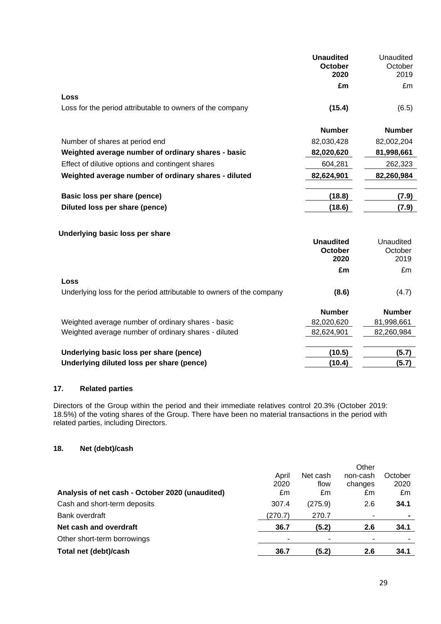|                                                                      | <b>Unaudited</b><br>October<br>2020 | Unaudited<br>October<br>2019 |
|----------------------------------------------------------------------|-------------------------------------|------------------------------|
|                                                                      | £m                                  | £m                           |
| Loss                                                                 |                                     |                              |
| Loss for the period attributable to owners of the company            | (15.4)                              | (6.5)                        |
|                                                                      | <b>Number</b>                       | <b>Number</b>                |
| Number of shares at period end                                       | 82,030,428                          | 82,002,204                   |
| Weighted average number of ordinary shares - basic                   | 82,020,620                          | 81,998,661                   |
| Effect of dilutive options and contingent shares                     | 604,281                             | 262,323                      |
| Weighted average number of ordinary shares - diluted                 | 82,624,901                          | 82,260,984                   |
| Basic loss per share (pence)                                         | (18.8)                              | (7.9)                        |
| Diluted loss per share (pence)                                       | (18.6)                              | (7.9)                        |
| Underlying basic loss per share                                      |                                     |                              |
|                                                                      | <b>Unaudited</b>                    | Unaudited                    |
|                                                                      | <b>October</b>                      | October                      |
|                                                                      | 2020                                | 2019                         |
|                                                                      | £m                                  | £m                           |
| Loss                                                                 |                                     |                              |
| Underlying loss for the period attributable to owners of the company | (8.6)                               | (4.7)                        |
|                                                                      | <b>Number</b>                       | <b>Number</b>                |
| Weighted average number of ordinary shares - basic                   | 82,020,620                          | 81,998,661                   |
| Weighted average number of ordinary shares - diluted                 | 82,624,901                          | 82,260,984                   |
| Underlying basic loss per share (pence)                              | (10.5)                              | (5.7)                        |
| Underlying diluted loss per share (pence)                            | (10.4)                              | (5.7)                        |

### **17. Related parties**

Directors of the Group within the period and their immediate relatives control 20.3% (October 2019: 18.5%) of the voting shares of the Group. There have been no material transactions in the period with related parties, including Directors.

### **18. Net (debt)/cash**

|                                                 |         |          | Other    |         |
|-------------------------------------------------|---------|----------|----------|---------|
|                                                 | April   | Net cash | non-cash | October |
|                                                 | 2020    | flow     | changes  | 2020    |
| Analysis of net cash - October 2020 (unaudited) | £m      | £m       | £m       | £m      |
| Cash and short-term deposits                    | 307.4   | (275.9)  | 2.6      | 34.1    |
| Bank overdraft                                  | (270.7) | 270.7    |          |         |
| Net cash and overdraft                          | 36.7    | (5.2)    | 2.6      | 34.1    |
| Other short-term borrowings                     | ۰       |          |          |         |
| Total net (debt)/cash                           | 36.7    | (5.2)    | 2.6      | 34.1    |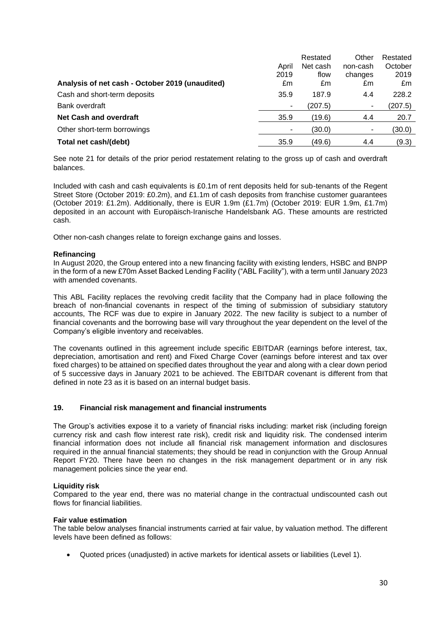|                                                 |       | Restated | Other    | Restated |
|-------------------------------------------------|-------|----------|----------|----------|
|                                                 | April | Net cash | non-cash | October  |
|                                                 | 2019  | flow     | changes  | 2019     |
| Analysis of net cash - October 2019 (unaudited) | £m    | £m       | £m       | £m       |
| Cash and short-term deposits                    | 35.9  | 187.9    | 4.4      | 228.2    |
| Bank overdraft                                  | -     | (207.5)  | ۰        | (207.5)  |
| <b>Net Cash and overdraft</b>                   | 35.9  | (19.6)   | 4.4      | 20.7     |
| Other short-term borrowings                     |       | (30.0)   |          | (30.0)   |
| Total net cash/(debt)                           | 35.9  | (49.6)   | 4.4      | (9.3)    |

See note 21 for details of the prior period restatement relating to the gross up of cash and overdraft balances.

Included with cash and cash equivalents is £0.1m of rent deposits held for sub-tenants of the Regent Street Store (October 2019: £0.2m), and £1.1m of cash deposits from franchise customer guarantees (October 2019: £1.2m). Additionally, there is EUR 1.9m (£1.7m) (October 2019: EUR 1.9m, £1.7m) deposited in an account with Europäisch-Iranische Handelsbank AG. These amounts are restricted cash.

Other non-cash changes relate to foreign exchange gains and losses.

### **Refinancing**

In August 2020, the Group entered into a new financing facility with existing lenders, HSBC and BNPP in the form of a new £70m Asset Backed Lending Facility ("ABL Facility"), with a term until January 2023 with amended covenants.

This ABL Facility replaces the revolving credit facility that the Company had in place following the breach of non-financial covenants in respect of the timing of submission of subsidiary statutory accounts, The RCF was due to expire in January 2022. The new facility is subject to a number of financial covenants and the borrowing base will vary throughout the year dependent on the level of the Company's eligible inventory and receivables.

The covenants outlined in this agreement include specific EBITDAR (earnings before interest, tax, depreciation, amortisation and rent) and Fixed Charge Cover (earnings before interest and tax over fixed charges) to be attained on specified dates throughout the year and along with a clear down period of 5 successive days in January 2021 to be achieved. The EBITDAR covenant is different from that defined in note 23 as it is based on an internal budget basis.

### **19. Financial risk management and financial instruments**

The Group's activities expose it to a variety of financial risks including: market risk (including foreign currency risk and cash flow interest rate risk), credit risk and liquidity risk. The condensed interim financial information does not include all financial risk management information and disclosures required in the annual financial statements; they should be read in conjunction with the Group Annual Report FY20. There have been no changes in the risk management department or in any risk management policies since the year end.

### **Liquidity risk**

Compared to the year end, there was no material change in the contractual undiscounted cash out flows for financial liabilities.

### **Fair value estimation**

The table below analyses financial instruments carried at fair value, by valuation method. The different levels have been defined as follows:

• Quoted prices (unadjusted) in active markets for identical assets or liabilities (Level 1).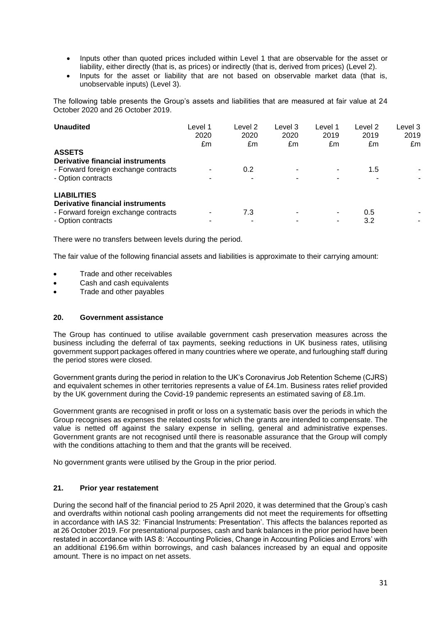- Inputs other than quoted prices included within Level 1 that are observable for the asset or liability, either directly (that is, as prices) or indirectly (that is, derived from prices) (Level 2).
- Inputs for the asset or liability that are not based on observable market data (that is, unobservable inputs) (Level 3).

The following table presents the Group's assets and liabilities that are measured at fair value at 24 October 2020 and 26 October 2019.

| <b>Unaudited</b><br><b>ASSETS</b>                                                                                    | Level 1<br>2020<br>£m | Level 2<br>2020<br>£m | Level 3<br>2020<br>£m | Level 1<br>2019<br>£m | evel 2.<br>2019<br>£m | Level 3<br>2019<br>£m |
|----------------------------------------------------------------------------------------------------------------------|-----------------------|-----------------------|-----------------------|-----------------------|-----------------------|-----------------------|
| Derivative financial instruments<br>- Forward foreign exchange contracts<br>- Option contracts                       |                       | 0.2<br>۰              |                       |                       | 1.5                   |                       |
| <b>LIABILITIES</b><br>Derivative financial instruments<br>- Forward foreign exchange contracts<br>- Option contracts |                       | 7.3<br>۰              | -                     | ۰                     | 0.5<br>3.2            |                       |

There were no transfers between levels during the period.

The fair value of the following financial assets and liabilities is approximate to their carrying amount:

- Trade and other receivables
- Cash and cash equivalents
- Trade and other payables

### **20. Government assistance**

The Group has continued to utilise available government cash preservation measures across the business including the deferral of tax payments, seeking reductions in UK business rates, utilising government support packages offered in many countries where we operate, and furloughing staff during the period stores were closed.

Government grants during the period in relation to the UK's Coronavirus Job Retention Scheme (CJRS) and equivalent schemes in other territories represents a value of £4.1m. Business rates relief provided by the UK government during the Covid-19 pandemic represents an estimated saving of £8.1m.

Government grants are recognised in profit or loss on a systematic basis over the periods in which the Group recognises as expenses the related costs for which the grants are intended to compensate. The value is netted off against the salary expense in selling, general and administrative expenses. Government grants are not recognised until there is reasonable assurance that the Group will comply with the conditions attaching to them and that the grants will be received.

No government grants were utilised by the Group in the prior period.

### **21. Prior year restatement**

During the second half of the financial period to 25 April 2020, it was determined that the Group's cash and overdrafts within notional cash pooling arrangements did not meet the requirements for offsetting in accordance with IAS 32: 'Financial Instruments: Presentation'. This affects the balances reported as at 26 October 2019. For presentational purposes, cash and bank balances in the prior period have been restated in accordance with IAS 8: 'Accounting Policies, Change in Accounting Policies and Errors' with an additional £196.6m within borrowings, and cash balances increased by an equal and opposite amount. There is no impact on net assets.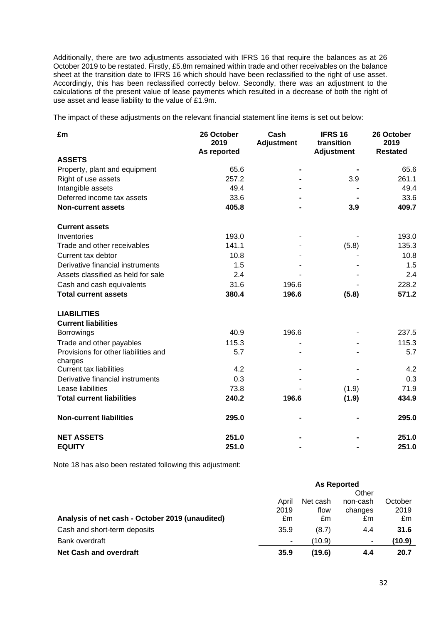Additionally, there are two adjustments associated with IFRS 16 that require the balances as at 26 October 2019 to be restated. Firstly, £5.8m remained within trade and other receivables on the balance sheet at the transition date to IFRS 16 which should have been reclassified to the right of use asset. Accordingly, this has been reclassified correctly below. Secondly, there was an adjustment to the calculations of the present value of lease payments which resulted in a decrease of both the right of use asset and lease liability to the value of £1.9m.

The impact of these adjustments on the relevant financial statement line items is set out below:

| £m                                              | 26 October<br>2019<br>As reported | Cash<br><b>Adjustment</b> | <b>IFRS 16</b><br>transition<br><b>Adjustment</b> | 26 October<br>2019<br><b>Restated</b> |
|-------------------------------------------------|-----------------------------------|---------------------------|---------------------------------------------------|---------------------------------------|
| <b>ASSETS</b>                                   |                                   |                           |                                                   |                                       |
| Property, plant and equipment                   | 65.6                              |                           |                                                   | 65.6                                  |
| Right of use assets                             | 257.2                             |                           | 3.9                                               | 261.1                                 |
| Intangible assets                               | 49.4                              |                           |                                                   | 49.4                                  |
| Deferred income tax assets                      | 33.6                              |                           |                                                   | 33.6                                  |
| <b>Non-current assets</b>                       | 405.8                             |                           | 3.9                                               | 409.7                                 |
| <b>Current assets</b>                           |                                   |                           |                                                   |                                       |
| Inventories                                     | 193.0                             |                           |                                                   | 193.0                                 |
| Trade and other receivables                     | 141.1                             |                           | (5.8)                                             | 135.3                                 |
| Current tax debtor                              | 10.8                              |                           |                                                   | 10.8                                  |
| Derivative financial instruments                | 1.5                               |                           |                                                   | 1.5                                   |
| Assets classified as held for sale              | 2.4                               |                           |                                                   | 2.4                                   |
| Cash and cash equivalents                       | 31.6                              | 196.6                     |                                                   | 228.2                                 |
| <b>Total current assets</b>                     | 380.4                             | 196.6                     | (5.8)                                             | 571.2                                 |
| <b>LIABILITIES</b>                              |                                   |                           |                                                   |                                       |
| <b>Current liabilities</b>                      |                                   |                           |                                                   |                                       |
| <b>Borrowings</b>                               | 40.9                              | 196.6                     |                                                   | 237.5                                 |
| Trade and other payables                        | 115.3                             |                           |                                                   | 115.3                                 |
| Provisions for other liabilities and<br>charges | 5.7                               |                           |                                                   | 5.7                                   |
| <b>Current tax liabilities</b>                  | 4.2                               |                           |                                                   | 4.2                                   |
| Derivative financial instruments                | 0.3                               |                           |                                                   | 0.3                                   |
| Lease liabilities                               | 73.8                              |                           | (1.9)                                             | 71.9                                  |
| <b>Total current liabilities</b>                | 240.2                             | 196.6                     | (1.9)                                             | 434.9                                 |
| <b>Non-current liabilities</b>                  | 295.0                             |                           |                                                   | 295.0                                 |
| <b>NET ASSETS</b>                               | 251.0                             |                           |                                                   | 251.0                                 |
| <b>EQUITY</b>                                   | 251.0                             |                           |                                                   | 251.0                                 |

Note 18 has also been restated following this adjustment:

|                                                 | <b>As Reported</b> |          |          |         |
|-------------------------------------------------|--------------------|----------|----------|---------|
|                                                 | Other              |          |          |         |
|                                                 | April              | Net cash | non-cash | October |
|                                                 | 2019               | flow     | changes  | 2019    |
| Analysis of net cash - October 2019 (unaudited) | £m                 | £m       | £m       | £m      |
| Cash and short-term deposits                    | 35.9               | (8.7)    | 4.4      | 31.6    |
| Bank overdraft                                  | ۰                  | (10.9)   |          | (10.9)  |
| <b>Net Cash and overdraft</b>                   | 35.9               | (19.6)   | 4.4      | 20.7    |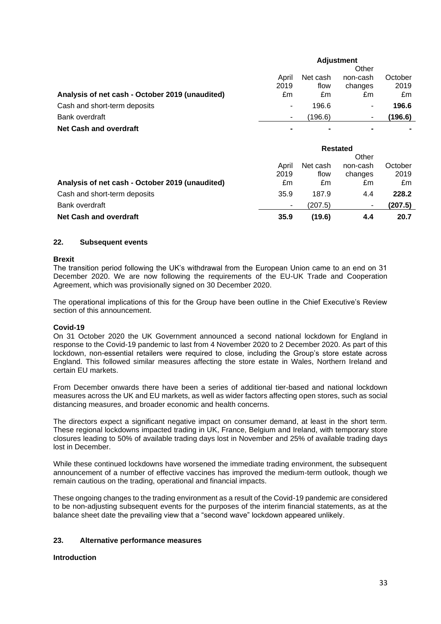|                                                 | <b>Adjustment</b> |          |          |         |
|-------------------------------------------------|-------------------|----------|----------|---------|
|                                                 |                   |          | Other    |         |
|                                                 | April             | Net cash | non-cash | October |
|                                                 | 2019              | flow     | changes  | 2019    |
| Analysis of net cash - October 2019 (unaudited) | £m                | £m       | £m       | £m      |
| Cash and short-term deposits                    | ٠                 | 196.6    | ۰.       | 196.6   |
| Bank overdraft                                  |                   | (196.6)  |          | (196.6) |
| <b>Net Cash and overdraft</b>                   |                   |          |          |         |

|                                                 | <b>Restated</b> |          |          |         |
|-------------------------------------------------|-----------------|----------|----------|---------|
|                                                 |                 |          | Other    |         |
|                                                 | April           | Net cash | non-cash | October |
|                                                 | 2019            | flow     | changes  | 2019    |
| Analysis of net cash - October 2019 (unaudited) | £m              | £m       | £m       | £m      |
| Cash and short-term deposits                    | 35.9            | 187.9    | 4.4      | 228.2   |
| Bank overdraft                                  | -               | (207.5)  |          | (207.5) |
| <b>Net Cash and overdraft</b>                   | 35.9            | (19.6)   | 4.4      | 20.7    |

### **22. Subsequent events**

### **Brexit**

The transition period following the UK's withdrawal from the European Union came to an end on 31 December 2020. We are now following the requirements of the EU-UK Trade and Cooperation Agreement, which was provisionally signed on 30 December 2020.

The operational implications of this for the Group have been outline in the Chief Executive's Review section of this announcement.

### **Covid-19**

On 31 October 2020 the UK Government announced a second national lockdown for England in response to the Covid-19 pandemic to last from 4 November 2020 to 2 December 2020. As part of this lockdown, non-essential retailers were required to close, including the Group's store estate across England. This followed similar measures affecting the store estate in Wales, Northern Ireland and certain EU markets.

From December onwards there have been a series of additional tier-based and national lockdown measures across the UK and EU markets, as well as wider factors affecting open stores, such as social distancing measures, and broader economic and health concerns.

The directors expect a significant negative impact on consumer demand, at least in the short term. These regional lockdowns impacted trading in UK, France, Belgium and Ireland, with temporary store closures leading to 50% of available trading days lost in November and 25% of available trading days lost in December.

While these continued lockdowns have worsened the immediate trading environment, the subsequent announcement of a number of effective vaccines has improved the medium-term outlook, though we remain cautious on the trading, operational and financial impacts.

These ongoing changes to the trading environment as a result of the Covid-19 pandemic are considered to be non-adjusting subsequent events for the purposes of the interim financial statements, as at the balance sheet date the prevailing view that a "second wave" lockdown appeared unlikely.

### **23. Alternative performance measures**

### **Introduction**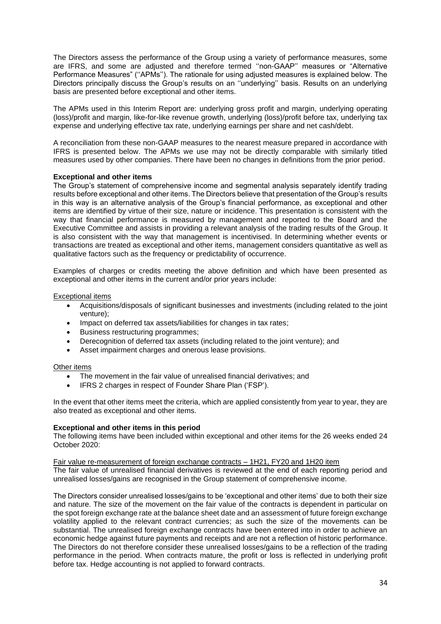The Directors assess the performance of the Group using a variety of performance measures, some are IFRS, and some are adjusted and therefore termed ''non-GAAP'' measures or "Alternative Performance Measures" (''APMs''). The rationale for using adjusted measures is explained below. The Directors principally discuss the Group's results on an ''underlying'' basis. Results on an underlying basis are presented before exceptional and other items.

The APMs used in this Interim Report are: underlying gross profit and margin, underlying operating (loss)/profit and margin, like-for-like revenue growth, underlying (loss)/profit before tax, underlying tax expense and underlying effective tax rate, underlying earnings per share and net cash/debt.

A reconciliation from these non-GAAP measures to the nearest measure prepared in accordance with IFRS is presented below. The APMs we use may not be directly comparable with similarly titled measures used by other companies. There have been no changes in definitions from the prior period.

### **Exceptional and other items**

The Group's statement of comprehensive income and segmental analysis separately identify trading results before exceptional and other items. The Directors believe that presentation of the Group's results in this way is an alternative analysis of the Group's financial performance, as exceptional and other items are identified by virtue of their size, nature or incidence. This presentation is consistent with the way that financial performance is measured by management and reported to the Board and the Executive Committee and assists in providing a relevant analysis of the trading results of the Group. It is also consistent with the way that management is incentivised. In determining whether events or transactions are treated as exceptional and other items, management considers quantitative as well as qualitative factors such as the frequency or predictability of occurrence.

Examples of charges or credits meeting the above definition and which have been presented as exceptional and other items in the current and/or prior years include:

### Exceptional items

- Acquisitions/disposals of significant businesses and investments (including related to the joint venture);
- Impact on deferred tax assets/liabilities for changes in tax rates;
- Business restructuring programmes;
- Derecognition of deferred tax assets (including related to the joint venture); and
- Asset impairment charges and onerous lease provisions.

### Other items

- The movement in the fair value of unrealised financial derivatives; and
- IFRS 2 charges in respect of Founder Share Plan ('FSP').

In the event that other items meet the criteria, which are applied consistently from year to year, they are also treated as exceptional and other items.

### **Exceptional and other items in this period**

The following items have been included within exceptional and other items for the 26 weeks ended 24 October 2020:

Fair value re-measurement of foreign exchange contracts – 1H21, FY20 and 1H20 item The fair value of unrealised financial derivatives is reviewed at the end of each reporting period and unrealised losses/gains are recognised in the Group statement of comprehensive income.

The Directors consider unrealised losses/gains to be 'exceptional and other items' due to both their size and nature. The size of the movement on the fair value of the contracts is dependent in particular on the spot foreign exchange rate at the balance sheet date and an assessment of future foreign exchange volatility applied to the relevant contract currencies; as such the size of the movements can be substantial. The unrealised foreign exchange contracts have been entered into in order to achieve an economic hedge against future payments and receipts and are not a reflection of historic performance. The Directors do not therefore consider these unrealised losses/gains to be a reflection of the trading performance in the period. When contracts mature, the profit or loss is reflected in underlying profit before tax. Hedge accounting is not applied to forward contracts.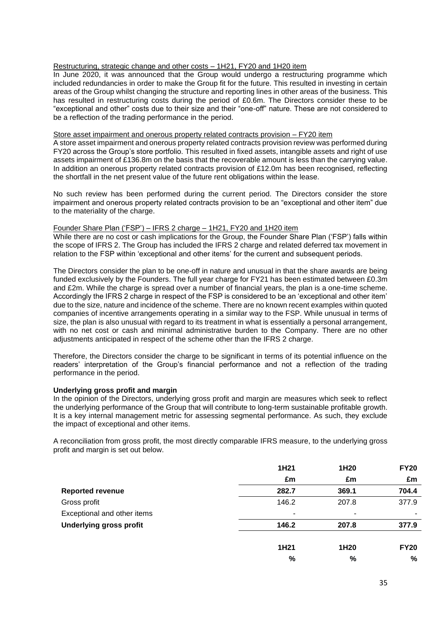### Restructuring, strategic change and other costs – 1H21, FY20 and 1H20 item

In June 2020, it was announced that the Group would undergo a restructuring programme which included redundancies in order to make the Group fit for the future. This resulted in investing in certain areas of the Group whilst changing the structure and reporting lines in other areas of the business. This has resulted in restructuring costs during the period of £0.6m. The Directors consider these to be "exceptional and other" costs due to their size and their "one-off" nature. These are not considered to be a reflection of the trading performance in the period.

### Store asset impairment and onerous property related contracts provision – FY20 item

A store asset impairment and onerous property related contracts provision review was performed during FY20 across the Group's store portfolio. This resulted in fixed assets, intangible assets and right of use assets impairment of £136.8m on the basis that the recoverable amount is less than the carrying value. In addition an onerous property related contracts provision of £12.0m has been recognised, reflecting the shortfall in the net present value of the future rent obligations within the lease.

No such review has been performed during the current period. The Directors consider the store impairment and onerous property related contracts provision to be an "exceptional and other item" due to the materiality of the charge.

#### Founder Share Plan ('FSP') – IFRS 2 charge – 1H21, FY20 and 1H20 item

While there are no cost or cash implications for the Group, the Founder Share Plan ('FSP') falls within the scope of IFRS 2. The Group has included the IFRS 2 charge and related deferred tax movement in relation to the FSP within 'exceptional and other items' for the current and subsequent periods.

The Directors consider the plan to be one-off in nature and unusual in that the share awards are being funded exclusively by the Founders. The full year charge for FY21 has been estimated between £0.3m and £2m. While the charge is spread over a number of financial years, the plan is a one-time scheme. Accordingly the IFRS 2 charge in respect of the FSP is considered to be an 'exceptional and other item' due to the size, nature and incidence of the scheme. There are no known recent examples within quoted companies of incentive arrangements operating in a similar way to the FSP. While unusual in terms of size, the plan is also unusual with regard to its treatment in what is essentially a personal arrangement, with no net cost or cash and minimal administrative burden to the Company. There are no other adjustments anticipated in respect of the scheme other than the IFRS 2 charge.

Therefore, the Directors consider the charge to be significant in terms of its potential influence on the readers' interpretation of the Group's financial performance and not a reflection of the trading performance in the period.

### **Underlying gross profit and margin**

In the opinion of the Directors, underlying gross profit and margin are measures which seek to reflect the underlying performance of the Group that will contribute to long-term sustainable profitable growth. It is a key internal management metric for assessing segmental performance. As such, they exclude the impact of exceptional and other items.

A reconciliation from gross profit, the most directly comparable IFRS measure, to the underlying gross profit and margin is set out below.

|                                | 1H21  | 1H <sub>20</sub> | <b>FY20</b> |
|--------------------------------|-------|------------------|-------------|
|                                | £m    | £m               | £m          |
| <b>Reported revenue</b>        | 282.7 | 369.1            | 704.4       |
| Gross profit                   | 146.2 | 207.8            | 377.9       |
| Exceptional and other items    | ۰     | ٠                |             |
| <b>Underlying gross profit</b> | 146.2 | 207.8            | 377.9       |
|                                | 1H21  | 1H <sub>20</sub> | <b>FY20</b> |
|                                | $\%$  | $\%$             | %           |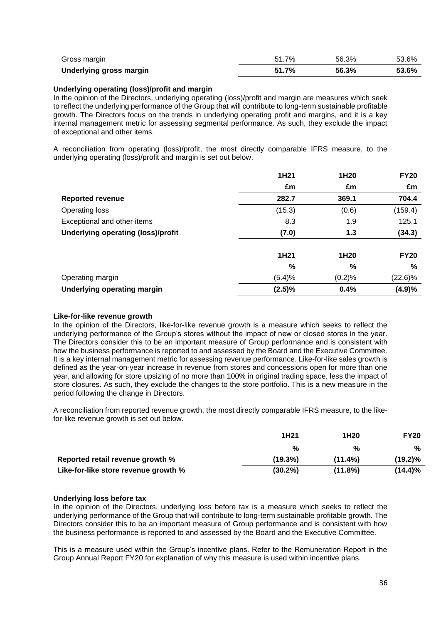| Gross margin            | 51.7% | 56.3% | 53.6% |
|-------------------------|-------|-------|-------|
| Underlying gross margin | 51.7% | 56.3% | 53.6% |

### **Underlying operating (loss)/profit and margin**

In the opinion of the Directors, underlying operating (loss)/profit and margin are measures which seek to reflect the underlying performance of the Group that will contribute to long-term sustainable profitable growth. The Directors focus on the trends in underlying operating profit and margins, and it is a key internal management metric for assessing segmental performance. As such, they exclude the impact of exceptional and other items.

A reconciliation from operating (loss)/profit, the most directly comparable IFRS measure, to the underlying operating (loss)/profit and margin is set out below.

|                                           | 1H21      | 1H20   | <b>FY20</b> |
|-------------------------------------------|-----------|--------|-------------|
|                                           | £m        | £m     | £m          |
| <b>Reported revenue</b>                   | 282.7     | 369.1  | 704.4       |
| Operating loss                            | (15.3)    | (0.6)  | (159.4)     |
| Exceptional and other items               | 8.3       | 1.9    | 125.1       |
| <b>Underlying operating (loss)/profit</b> | (7.0)     | 1.3    | (34.3)      |
|                                           | 1H21      | 1H20   | <b>FY20</b> |
|                                           | %         | %      | %           |
| Operating margin                          | (5.4)%    | (0.2)% | $(22.6)\%$  |
| <b>Underlying operating margin</b>        | $(2.5)\%$ | 0.4%   | (4.9)%      |

### **Like-for-like revenue growth**

In the opinion of the Directors, like-for-like revenue growth is a measure which seeks to reflect the underlying performance of the Group's stores without the impact of new or closed stores in the year. The Directors consider this to be an important measure of Group performance and is consistent with how the business performance is reported to and assessed by the Board and the Executive Committee. It is a key internal management metric for assessing revenue performance. Like-for-like sales growth is defined as the year-on-year increase in revenue from stores and concessions open for more than one year, and allowing for store upsizing of no more than 100% in original trading space, less the impact of store closures. As such, they exclude the changes to the store portfolio. This is a new measure in the period following the change in Directors.

A reconciliation from reported revenue growth, the most directly comparable IFRS measure, to the likefor-like revenue growth is set out below.

|                                      | 1H <sub>21</sub> | 1H <sub>20</sub> | <b>FY20</b> |
|--------------------------------------|------------------|------------------|-------------|
|                                      | %                | %                | %           |
| Reported retail revenue growth %     | (19.3%)          | $(11.4\%)$       | (19.2)%     |
| Like-for-like store revenue growth % | $(30.2\%)$       | $(11.8\%)$       | $(14.4)\%$  |

### **Underlying loss before tax**

In the opinion of the Directors, underlying loss before tax is a measure which seeks to reflect the underlying performance of the Group that will contribute to long-term sustainable profitable growth. The Directors consider this to be an important measure of Group performance and is consistent with how the business performance is reported to and assessed by the Board and the Executive Committee.

This is a measure used within the Group's incentive plans. Refer to the Remuneration Report in the Group Annual Report FY20 for explanation of why this measure is used within incentive plans.